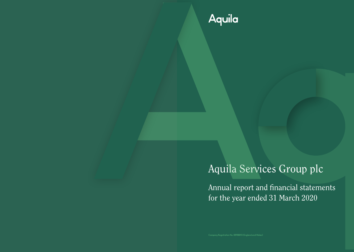

# Aquila Services Group plc

Annual report and financial statements for the year ended 31 March 2020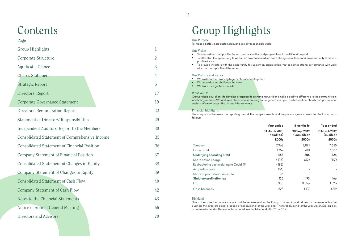1

## **Contents**

| Page                                                |                |
|-----------------------------------------------------|----------------|
| Group Highlights                                    | $\mathbf{1}$   |
| Corporate Structure                                 | $\overline{2}$ |
| Aquila at a Glance                                  | 3              |
| Chair's Statement                                   | 4              |
| Strategic Report                                    | 6              |
| Directors' Report                                   | 17             |
| Corporate Governance Statement                      | 19             |
| Directors' Remuneration Report                      | 22             |
| <b>Statement of Directors' Responsibilities</b>     | 29             |
| Independent Auditors' Report to the Members         | 30             |
| Consolidated Statement of Comprehensive Income      | 35             |
| <b>Consolidated Statement of Financial Position</b> | 36             |
| Company Statement of Financial Position             | 37             |
| Consolidated Statement of Changes in Equity         | 38             |
| Company Statement of Changes in Equity              | 39             |
| <b>Consolidated Statement of Cash Flow</b>          | 40             |
| Company Statement of Cash Flow                      | 42             |
| Notes to the Financial Statements                   | 43             |
| Notice of Annual General Meeting                    | 66             |
| Directors and Advisors                              | 70             |
|                                                     |                |

## Group Highlights

### Our Purpose

To: make a better, more sustainable, and socially responsible world.

### Our Vision

• To offer staff the opportunity to work in an environment which has a strong social focus and an opportunity to make a

- To have a direct and positive impact on communities and people's lives in the UK and beyond.
- positive impact.
- which makes a positive difference.

• To provide investors with the opportunity to support an organisation that combines strong performance with work

### Our Culture and Values

- We Collaborate working together to succeed together.
- We Innovate we challenge the norm.
- We Care we go the extra mile.

### What We Do

Our work helps our clients to develop a response to a changing world and make a positive difference to the communities in which they operate. We work with clients across housing and regeneration, sport and education, charity and government sectors. We work across the UK and internationally.

### Financial highlights

The comparison between this reporting period, the mid-year results and the previous year's results for the Group is as follows:

|                                                                                                                                                                                                                                                                                                                                         | Year ended                 | 6 months to                 | Year ended                 |
|-----------------------------------------------------------------------------------------------------------------------------------------------------------------------------------------------------------------------------------------------------------------------------------------------------------------------------------------|----------------------------|-----------------------------|----------------------------|
|                                                                                                                                                                                                                                                                                                                                         | 31 March 2020<br>(audited) | 30 Sept 2019<br>(unaudited) | 31 March 2019<br>(audited) |
|                                                                                                                                                                                                                                                                                                                                         | £000s                      | £000s                       | £000s                      |
| Turnover                                                                                                                                                                                                                                                                                                                                | 7,963                      | 3,891                       | 7,655                      |
| Gross profit                                                                                                                                                                                                                                                                                                                            | 1,752                      | 980                         | 1,867                      |
| Underlying operating profit                                                                                                                                                                                                                                                                                                             | 468                        | 306                         | 724                        |
| Share option charge                                                                                                                                                                                                                                                                                                                     | (105)                      | (52)                        | (117)                      |
| Restructuring costs relating to Covid-19                                                                                                                                                                                                                                                                                                | (186)                      |                             |                            |
| Acquisition costs                                                                                                                                                                                                                                                                                                                       | (51)                       |                             |                            |
| Share of profits from associate                                                                                                                                                                                                                                                                                                         | 51                         |                             |                            |
| Statutory profit after tax                                                                                                                                                                                                                                                                                                              | 126                        | 195                         | 466                        |
| <b>EPS</b>                                                                                                                                                                                                                                                                                                                              | 0.35p                      | 0.55p                       | 1.32p                      |
| Cash balances                                                                                                                                                                                                                                                                                                                           | 828                        | 1,127                       | 1,719                      |
| Dividend                                                                                                                                                                                                                                                                                                                                |                            |                             |                            |
| Due to the current economic climate and the requirement for the Group to maintain and retain cash reserves within the<br>business the directors do not propose a final dividend for the year end. The total dividend for the year was 0.30p (paid as<br>an interim dividend in December) compared to a final dividend of 0.89p in 2019. |                            |                             |                            |

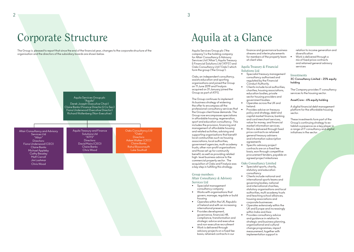Aquila Services Group plc "Aquila" Derek Joseph (Executive Chair) Claire Banks (Finance Director & Co Sec) Fiona Underwood (Executive Director) Richard Wollenberg (Non-Executive)

Altair Consultancy and Advisory Services Ltd "Altair" Directors: Fiona Underwood (CEO) Claire Banks Michael Appleby Cathy Beazley Matt Carroll Jim Lashmar Chris Wood

Aquila Services Group plc ('the company') is the holding company for Altair Consultancy & Advisory Services Ltd ('Altair'), Aquila Treasury & Financial Solutions Ltd ('ATFS') and Oaks Consultancy Ltd ('Oaks') which form the group ('the Group').

Aquila Treasury and Finance Solutions Ltd "ATFS" Directors: David Mairs (CEO) Claire Banks Chris Wood

Oaks Consultancy Ltd "Oaks" Directors: Adam Walker (CEO) Claire Banks Rahul Bissoonauth Luke Southall

## Corporate Structure

The Group is pleased to report that since the end of the financial year, changes to the corporate structure of the organisation and the directors of the subsidiary boards are shown below.

> Oaks, an independent consultancy, assists education and sporting organisations and joined the Group on 11 June 2019 and Finalysis acquired on 31 January joined the Group as part of ATFS.

The Group continues to implement its business strategy of widening the offer to encompass all the professional consultancy services that the Groups client base demands. The Group now encompasses specialisms in affordable housing, regeneration, sport and education consultancy. This includes the provision, financing and management of affordable housing and related activities, advising and supporting organisations that benefit local communities such as housing associations, local authorities, government agencies, multi-academy trusts, other non-profit organisations and those set up for community benefit, as well as providing related high- level business advice to the commercial property sector. The acquisition of Oaks and Finalysis was a key step in fulfilling this strategy.

### Group members Altair Consultancy & Advisory Services Ltd

- Specialist sports, charity, statutory and education consultancy
- Clients include national and international sports teams and governing bodies, national and international charities, statutory organisations and local authorities, multi academy trusts and teaching school alliances, housing associations and corporate businesses • Operates extensively within the UK and Europe and increasingly within India and Asia • Provides consultancy advice and guidance in relation to strategic and business planning, organisational and cultural change programmes, impact
- measurement, together with

- Specialist management consultancy company
- Works with organisations that govern, manage, regulate or build housing
- Operates within the UK, Republic of Ireland and with an increasing international presence
- Provides development, governance, financial, HR, compliance, transformation and strategic advice and executive and non-executive recruitment
- Work is delivered through advisory projects on a fixed fee basis, retained contracts in our

finance and governance business streams and interim placements for members of the property team

at client sites

### Aquila Treasury & Financial Solutions Ltd

- 
- Specialist treasury management consultancy authorised and regulated by the Financial Conduct Authority. • Clients include local authorities, charities, housing associations, education bodies, private sector housing providers and government bodies. • Operates across the UK and
	- Ireland. Provides advice on treasury
	- - price contracts as retained general treasury advisers agreements Specific advisory project
		- contracts are on a fixed fee agreed project milestones

policy and strategy, debt and capital market finance, banking and card merchant services, value for money, and financial market information services. • Work is delivered through fixed and information subscription

basis, won through competitive procurement tenders, payable on

### Oaks Consultancy Limited

implementation support in

## Aquila at a Glance



• Work is delivered through a mix of fixed price contracts and retained general advisory services

### Investments

**3C Consultancy Limited – 25% equity holding** 

The Company provides IT consultancy services to the housing sector.

### **AssetCore – 6% equity holding**

A digital financial debt management platform for the affordable housing sector.

These investments form part of the Group's continuing strategy to establish a presence as a key player in a range of IT consultancy and digital initiatives in the sector.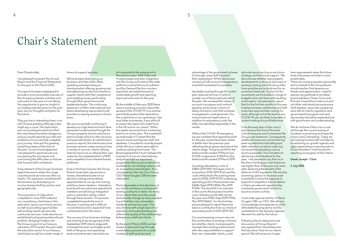## Chair's Statement

### Dear Shareholder,

I am pleased to present the Annual Report and the Financial Statements for the year to 31st March 2020.

The report has been redesigned to provide a more accessible overview of the Group businesses, activities and outcomes for the year so I am taking this opportunity to give an insight to our trading and decisions for the past year and our thoughts and plans for the future.

'May you live in interesting times' is an old Chinese greeting although some might say a curse. The implication was not avoiding boredom but that the road ahead would be dangerous and you would need all your skill and endeavour to successfully complete your journey. How apt this greeting would have been at the start of the year. So much has happened. I am pleased to report we are now recognising the successes and overcoming the difficulties so that we look forward with confidence.

A key element of the Group's business objectives was to widen the range of professional services we offer our clients. This expansion would benefit the business by diversifying our income streams both by sectors and geographically.

The acquisition of Oaks which completed in June 2019 widened our consultancy client base in the education, sports and charity sectors as well as providing opportunities with existing clients who provide community services. Oaks also has an established and growing international portfolio. Bringing Finalysis into the Group as part of our treasury subsidiary ATFS earlier this year adds the education sector to our treasury client base as well as a wider range of

### financial support services.

We have been diversifying our business activities within Altair, updating and expanding our transformation offering, growing and strengthening our technical teams to support clients with their compliance and cladding issues, particularly through Altair governance and leadership teams. The continuing expansion of Altair International and teams developing new products will provide increasing revenues in future years.

We are successfully continuing to develop our high level and short-term placement model mainly through the Group's property division and future plans include rollout to other divisions and specialist teams. As mentioned in previous reports, the interim executive business remains under pressure from a variety of sources: clients utilising internal resources or utilising their own networks, the implementation of IR35 and competition from internet-based platforms.

Early in the financial year the Group Board conducted a governance review, streamlined some of our decision making and enabling opportunities for our up and coming ambitious team members. Subsidiary boards will now only have operational members and all Group integration and co-ordination will be routed through these boards. This process completed towards the end of the year is working well in difficult circumstances and is expected to be cost beneficial for the future.

Without the COVID-19 emergency we are confident that reported profits for the year would have been similar or better than the previous year reflecting the progress reported at the interim stage. The gross profit for the twelve months ended 31 March was £1,752k compared to £1,867k for the twelve months ended 31 March 2019.

The success of our business strategy was starting to be recognised at the September 2019 interim stage with increased turnover and higher profit, both at the gross and operating level and enhanced cash balances

all compared to the same point in the previous year. With Oaks and Finalysis beginning their integration into the Group and some of the wider political uncertainties such as Brexit and the General Election now less important, we looked forward to sustainable growth and reporting improved outcomes for the year.

By the middle of February 2020 there were increasing concerns about the spread of the COVID-19 virus and we were thinking about the implications this could have on our operations. Like most other businesses, it was difficult to assess the impact this might have in the UK and on our clients. Within two weeks we moved from a watching brief to an action plan. The investment we had made in IT meant that the move to home working was swift and seamless. Consultants normally based at the offices of clients were able to continue working from home. The Board agreed that it must reshape the business to focus on client delivery and put on hold our expansion programme. Resources would not be available for our strategic plans such as acquisitions and mergers. As a consequence, the role of our Group CEO Steve Douglas CBE became redundant.

> I must make special mention of Steve Douglas CBE, our CEO. We will miss his knowledge and experience of the affordable housing sector and his commitment to the diversity agenda. We wish him well for the future.

Much depended on the decisions of our clients wanting to continue with existing contracts or defer. For many of our clients their priorities would dramatically change as many needed to put first their own vulnerable residents and service users. This was all done with a high level of cooperation and understanding and reflects the quality of the relationships between our staff and clients.

By the end of March 2020, we had issued or were part-way through a redundancy process for a small number of staff and also took

advantage of the government scheme to furlough some staff to protect their employment. All the above was carried out with as much transparency and staff involvement as possible.

Inevitably working through this action plan reduced turnover in what is usually one of the busiest periods of the year. We reviewed the values of our work in progress and contract pipeline, particularly in terms of delay and extra costs that lockdown arrangements could generate. Our actions had cost implications in addition to redundancy costs, the latter are identified separately in the results.

Including redundancy costs of £186k (2019 £Nil), the legal costs of acquisitions £51k (2019 £nil) and the costs attributed to the existing share options £105k (2019 £117k) underlying operating profit of the business was £468k (Sept 2019 £306k, Mar 2019 £724k). The shortfall is an indicator of the cost to the business from the crisis. Statutory profit after tax for the year was £126k (Sept 2019 £195k, Mar 2019 £466k). For the first time we are pleased to report there has been a contribution from our share of associates profit of £51k (2019: Nil).

Our most pressing concern was not the continuation of existing contracts but whether clients, hard pressed to manage their existing workload and with new responsibilities to support their own vulnerable clients, could

allocate resources to procure future strategic and technical support. We did not know whether new property developments, looking at new ways of working, training and efficiency initiatives would be put on hold and for an uncertain timescale. To plan for this uncertainty, we formulated a range of budgets and cash flows with resulting action plans. I am pleased to report that for the first two months of this year trading has been satisfactory and with some new opportunities coming forward, although not at the level of pre COVID-19, we are likely to be able to sustain trading at a profitable level.

From the early days of the crisis it was obvious that one of the most critical measures was to maximise the Group cash balances. Consequently, additional resources and monitoring were inputted into both billing and debt collection as well as reducing non-essential operating costs as much as possible. This included not declaring a final dividend for the year. I am pleased to say that as at the time of writing our cash balances are higher than at the year end, even after deducting the benefit of the deferral of VAT payments. We are also examining options to increase cash availability to have the capacity to expand if competitors cannot deliver or there are relevant opportunities created by government actions to boost economic activity.

Following Steve's departure and discussions at Group Board it was agreed that I should become the Executive Chair for an interim period. We will review our longerterm requirements when the future level of business activities is more predictable.

There are so many people I personally and on behalf of the Group Board should mention that deserve our thanks and appreciation. I need to express my gratitude to my fellow board members Claire, Fiona and Richard. It would be invidious to pick out other individuals because every staff member, associate, people we work with at clients, regulators and government have given over and above what should be expected and with good humor and understanding.

We do not know if the crisis is over yet though the current easing of lockdown is promising and hope the future is less 'interesting'. Today we are looking forward with confidence to restarting our growth agenda and again generating increasing returns for shareholders. I look forward to reporting on progress at the interim.

### **Derek Joseph - Chair**

**2 July 2020**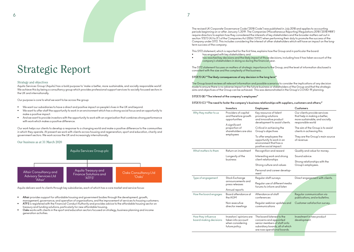## Strategic Report

### Strategy and objectives

Aquila Services Group (Aquila) has a bold purpose to 'make a better, more sustainable, and socially responsible world'. We achieve this by being a consultancy group which provides professional support services to socially focused sectors in the UK and internationally.

Our purpose is core to what we want to be across the group:

- We want our subsidiaries to have a direct and positive impact on people's lives in the UK and beyond.
- We want to offer staff the opportunity to work in an environment which has a strong social focus and an opportunity to make a positive impact.
- And we want to provide investors with the opportunity to work with an organisation that combines strong performance with work which makes a positive difference.

Our work helps our clients to develop a response to a changing world and make a positive difference to the communities in which they operate. At present we work with clients across housing and regeneration, sport and education, charity and government sectors. We work across the UK and increasingly internationally.





Aquila delivers work to clients through key subsidiaries, each of which has a core market and service focus:

- **• Altair** provides support for affordable housing and government bodies through the development, growth,
- management, governance, and operation of organisations, and the improvement of services to housing customers. **• ATFS** is registered with the Financial Conduct Authority and provides advice to the affordable housing sector on treasury and funding solutions, particularly for new affordable housing.
- **• Oaks** works with clients in the sport and education sectors focused on strategy, business planning and income generation activities.

|                                              | Investors                                                                           | Employ                                              |
|----------------------------------------------|-------------------------------------------------------------------------------------|-----------------------------------------------------|
| Why they matter to us                        | Providers of capital<br>and therefore growth<br>opportunities                       | Key res<br>providi<br>and inn                       |
|                                              | A significant<br>proportion of<br>shareholders are also                             | develop<br>Critical<br>Group'                       |
|                                              | employees                                                                           | To offer<br>opportu<br>environ<br>positive          |
| What matters to them                         | Return on investment                                                                | Recogr                                              |
|                                              | Longevity of the<br>business                                                        | Interest<br>client re                               |
|                                              |                                                                                     | Strong                                              |
|                                              |                                                                                     | Person<br>ment                                      |
| Type of engagement                           | Słock Exchange<br>announcements and                                                 | Regula                                              |
|                                              | press releases                                                                      | Regula<br>forums                                    |
|                                              | Annual reports                                                                      |                                                     |
| How the board engages                        | Board attendance at<br>the AGM                                                      | Attende<br>confere                                  |
|                                              | Non-executive<br>director meetings                                                  | Regula<br>commu                                     |
| How they influence<br>board-making decisions | Investors' opinions are<br>taken into account<br>when considering<br>future policy. | The bor<br>concer<br>senior r<br>subsidi<br>are nov |

### **Investors Employees Customers** ource of talent ng solutions **iovative** product pment to assist clients. I in achieving the 's objectives employees the unity to work in an  $\frac{1}{2}$ iment that has a e social impact. Our clients provide services that help in making a better, more sustainable, and socially responsible world The aim of the Group is to assist clients in achieving this. They are the Group's main source of revenue. hition and reward ling work and strong elationships culture and values al and career develop-Quality and value for money. Sound advice. Strong relationships with the Group's employees. r staff surveys r use of different media to inform and listen Direct engagement with clients. ance at staff ences Regular webinar updates and Customer satisfaction survey. nications Regular communication via publications, and e-bulletins. ard listened to the ns and appointed nembers of staff onto ary boards, all of which v operati<mark>onal boards.</mark> Investment in new product development.

The revised UK Corporate Governance Code ('2018 Code') was published in July 2018 and applies to accounting periods beginning on or after January 1, 2019. The Companies (Miscellaneous Reporting) Regulations 2018 ('2018 MRR') require directors to explain how they considered the interests of key stakeholders and the broader matters set out in section 172(1) (A) to (F) of the Companies Act 2006 ('S172') when performing their duty to promote the success of the Company under S172. This includes considering the interest of other stakeholders which will have an impact on the longterm success of the company.

This S172 statement, which is reported for the first time, explains how the Group and in particular the board:

• has reached key decisions and the likely impact of those decisions, including how it has taken account of the

- has engaged with key stakeholders; and
- company's stakeholders in doing so during the financial year.

The S172 statement focuses on matters of strategic importance to the Group, and the level of information disclosed is consistent with the size and the complexity of the business.

### **S172(1) (A) "The likely consequences of any decision in the long term"**

The Group board reviews all relevant information and possible scenarios to consider the implications of any decision made to ensure there is no adverse impact on the future business or stakeholders of the Group and that the strategic aims and objectives of the Group can be achieved. This was demonstrated in the Group's COVID-19 planning.

### **S172(1) (B) "The interest of the company's employees"**

### **S172(1) (C) "The need to foster the company's business relationships with suppliers, customers and others;"**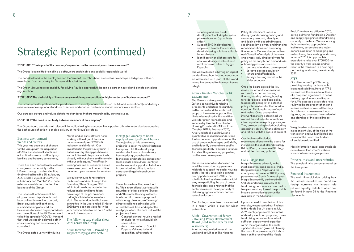### **S172(1) (D) "The impact of the company's operation on the community and the environment"**

The Group is committed to making a better, more sustainable and socially responsible world.

The board listened to the employees and the 'Green Group' has been created as an employee-led group, with representation from across Aquila Group and its subsidiaries.

The Green Group has responsibility for driving Aquila's approach to become a carbon neutral and climate conscious organisation.

### **S172(1) (E) "The desirability of the company maintaining a reputation for high standards of business conduct"**

The Group provides professional support services to socially focused sectors in the UK and internationally, and always aims to deliver exceptional standards of service and conduct and remain market leaders in our sectors.

Our purpose, culture and values dictate the standards that are maintained by our employees.

### **S172(1) (F) "The need to act fairly between members of the company"**

The Group board considers all relevant information taking into account the impact on all stakeholders before adopting the best course of action to enable delivery of the Group's strategy.

### Business environment Trends and factors

This year has been one of change for the Group with the acquisition of Oaks, our specialist sports and education business, and Finalysis, a banking and treasury consultancy.

> We quickly moved to restructure the business and our Group Chief Executive, Steve Douglas CBE, left in April. We have made further redundancies and have taken advantage of the government's furlough scheme for a few of our staff. The redundancies that were committed in the year ended 31 March 2020 have been provided for in the year and identified within note 6 in the notes to the accounts.

There has been considerable external change and uncertainty as the UK went through another election, finally exited from the EU in January 2020 and the impact of COVID-19 in February and March 2020. These external events have affected the business of the Group.

The General Election meant that all government departments and local authorities went into purdah, Brexit caused significant delay in commissioning new work as businesses focussed on preparedness and the actions of the UK Government to halt the spread of COVID-19 meant that work was again delayed, both in commissioning and also delivery or cancelled.

The Group acted very swiftly during

- Support SMC in developing simple and flexible low-cost/lowdensity housing solutions suitable for rural areas.
- Identification of pilot projects for new low- density construction in rural, mid-sized cities of Krygyz Republic.

March and all our staff were homeworking within days of the initial announcement pre-COVID-19 lockdown in mid-March. Our investment in the previous year in IT put us in a very strong position and we could immediately communicate virtually with our clients and internally with our colleagues. The offices in Birmingham and St Leonards on Sea were closed, and our London office remained open for essential services.

The following case studies show work across the Group

Altair International - Providing support to Kyrgyzstan State

Mortgage Company to boost supply of energy efficient homes The objective of this consultancy project is to assist the State Mortgage Company (SMC) in developing solutions for low-cost, low-density housing design, construction techniques and materials suitable for local climate and cultural identity in rural areas, and support stakeholders in rural mid-sized cities to initiate corresponding pilot construction projects.

The outcome from the project led by Altair International, working with a number of other advisers (Sweco and Affordable Housing Institute), is to have pilot projects prepared which integrate energy efficiency/ climate resilience principles with affordable, risk-free lending for the rural population. The core tasks of the project are these:

- Conduct general housing market analysis for Kyrgyz Republic in seven cities.
- Assist the creation of Special Purpose Vehicles for land acquisition, infrastructure

Bus UK fundraising office for 2020, acting as Interim Fundraising Director and supplying significant fundraising capacity to the team. We are leading their fundraising approach to institutions, corporates and major donors in addition to managing and restructuring their existing fundraising team. In 2020 this approach is expected to raise over £700,000 for the charity's work in India and will result in the transition to a new, high performing fundraising team in early  $2021.$ 

## Strategic Report (continued)

servicing, and real estate development including business plan elaboration (up to three cities).

The work will result in having an impact on identifying how housing needs can be addressed in a part of the world where the demand for low-cost homes is high.

### Altair - Greater Manchester GC Growth Hub

The Growth Hub appointed Altair (after a competitive tendering process) to undertake research to better understand the scale and scope of the market opportunities likely to be realised in the next five years for green technologies and services by Greater Manchester Housing Providers (GMHPs). From October 2019 to February 2020, Altair undertook qualitative and quantitative research to understand the barriers and opportunities for the use of green technologies by GMHPs, and to identify demand for specific technologies likely to be used in future for retrofitting of existing properties, and for new development.

The recommendations focussed on: what the low carbon supply chain might do to support the social housing sector, thereby developing commercial opportunities for GMHPs, the role that other key stakeholders might play in expediating the use of green technologies, and ensuring that the sector maximises the opportunity of delivering against national carbon reduction targets.

Our findings have been summarised in a report which is due for wider publication.

### Altair - Government of Jersey - Housing Policy Development Board (Lead sector experts and researchers)

Altair was appointed to assist the work and activities of The Housing

Policy Development Board in Jersey by undertaking primary and secondary research, identifying and liaising with expert witnesses, scoping policy, delivery and financing recommendations and preparing final reports. Our work began with an as-is "baseline" analysis of the main challenges, including key drivers for policy on the supply and demand side of housing provision, such as: • barriers to land and development • Jersey's ageing population • tenure and affordability • Jersey's housing market in the wider economy

- 
- 

Once the board agreed the key issues, we led workshop sessions with sector experts in housing finance, housing delivery, housing for older people, and fiscal policy to generate a long list of potential policy interventions for the board to consider. This long list was refined and tested. Once acceptable interventions were determined, we worked the individual interventions into comprehensive policy packages. They are now being tested (including assessing viability / financial impact) and refined with the board at present.

Our final report includes recommendations from the board for inclusion in the spatial land strategy (Island Plan), Government Strategy and related housing policies.

### Oaks - Magic Bus

Magic Bus works primarily in the most disadvantaged areas of India, Bangladesh and Nepal, and the charity supports over 400,000 young people across South Asia each year. Magic Bus recently partnered with Oaks to undertake a review of its fundraising performance over the last few years and explore all the possible income generation opportunities available in the UK market.

Upon successful completion of this exercise, we presented our findings to the Magic Bus UK board in July 2019, identifying several new areas of development and proposing a new fundraising team structure to build sufficient capacity and expertise within the organisation to enable significant income growth. Following this consultancy exercise, Oaks has taken on the running of the Magic

### ATFS

Our client was a Top 100 charity, providing housing for those with learning disabilities. Here at ATFS we reviewed the commercial terms of a proposed agreement to act as delivery agent for a social impact fund. We assessed associated risks, reviewed board presentations and interviewed executive staff to verify that internal risk assessment was rigorous, and assessed the credential and standing of the social impact fund.

We gained an outcome of an independent view of the risks of the transaction and we highlighted any issues for the Board that had not already been identified.

More information on all case studies is available on the Group's website www.aquilaservicesgroup.co.uk

### Principal risks and uncertainties

The principal risks currently faced by the Group are:

### Financial instruments

The main financial risks arising from the Group's activities are credit risk, foreign currency risk, interest rate risk and liquidity, details of which can be found in note 24 to the Financial Statements.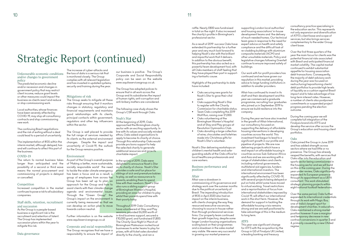Unfavourable economic conditions and/or changes to government policy

The predicted economic decline and/or recession and changes in government policy that may restrict client income, reduce grant levels or other measures could impact the business as clients react and reduce or stop commissioning work.

Local authorities, whose finances have been severely affected by COVID-19, may stop all consultancy contracts and stop commissioning new work.

The continuing Brexit negotiations and the risk of exiting without a deal could lead to a period of uncertainty.

The implementation of IR35 within the interim market, although delayed, has and will continue to affect this part of the business.

### COVID-19

The Group seeks to mitigate all these risks through ensuring that it monitors changes in statutory, regulatory and financial requirements and maintains good relationships with its clients, principal contacts within government, regulators and other key influencers within the sector.

The return to normal business takes longer than anticipated and the possibility of a second or third wave means the normal procurement and commissioning of projects is delayed or cancelled.

### Competition

Increased competition in the market continues to pose a risk to all subsidiary companies.

### Staff skills, retention, recruitment and succession

As the Group is a people-based business a significant risk is the recruitment and retention of talent. The Group has implemented succession plans within the year to mitigate this risk.

Data governance

The increase of cyber-attacks and the loss of data is a serious risk that is monitored closely. The Group complies with all relevant legislation and has invested in updated systems, security and training during the year.

### Mitigations of risk

The Group is well placed to provide the full range of services needed by its clients as the external environment changes. Despite the impact and uncertainty of Covid-19, the outlook for the Group remains positive.

### Environment

As part of the Group's overall purpose of 'Making a better, more sustainable, socially responsible world' the need to tackle the wider climate emergency has been a focus and as a result, a group of employees from across the Group has been set up to plan an approach for the Group and how to assist clients with their climate change agenda and environmental issues. Through the "Green Group" the Group's impact on the environment is currently being measured so that we can develop an action plan to move towards carbon neutral.

Further information is on the website www.aquilaservicesgroup.co.uk

Corporate and social responsibility The Group recognises that we have a responsibility to ensure the impact of

our business is positive. The Group's Corporate and Social Responsibility policy can be seen on the website www.aquilaservicesgroup.co.uk.

The Group has adopted polices to ensure that in all work across the Group and its subsidiaries the impact of human rights, anti-corruption and anti-bribery matters are considered.

The following case study shows the Group's CSR work through Oaks.

### Noah's Star

At the beginning of 2019, Oaks approached the Birmingham charity sector with an exciting opportunity. In line with its values and socially minded ethos, Oaks asked organisations to apply to become its charity of choice. Through this relationship Oaks would provide pro bono support to help the selected charity to generate additional resources and grow its charitable impact.

supporting London local authorities' and housing associations' in-house expert advice on health and safety compliance and the difficult task of composite materials (ACM) and buildings.

In the spring of 2019, Oaks were delighted to announce Noah's Star as its charity of choice. Noah's Star provides a safe and fun place for siblings of sick and premature babies to play, as well as reassurance to parents, enabling them to spend time with their newborn. Noah's Star also runs a sibling support group at Birmingham Women's Hospital, providing an area for children to play whilst their parents spend time with their poorly baby.

Throughout 2019 Oaks Consultancy have volunteered at Stay and Play sessions, provided £6,000 worth of in-kind business support, secured a £10,000 grant, and fundraised £1,800. The Charity Quiz Night in March at Birmingham Malmaison invited local businesses to enter teams to play for prizes, with all ticket sales donated directly to the charity, and ran a

## Strategic Report (continued)

raffle. Nearly £800 was fundraised in total on the night. It also increased the charity's profile in Birmingham's professional sector.

As a result of 2019 success Oaks have extended its partnership for a further year and very much look forward to helping Noah's star with the brilliant and impactful work that it delivers. In addition to the obvious benefit, this partnership has also acted as a powerful team development tool, with all Oaks members of staff feeling that they have played their part in supporting a fantastic cause.

Highlights of the partnership to date have included:

- Oaks securing new grants for Noah's Star to grow their vital work.
- Oaks supporting Noah's Star to register with the Charity Commission for charitable status.
- Team Oaks completing the 2019 Wolf Run, raising over £1,000.
- Oaks volunteering at the Birmingham Women's Hospital and at Stay and Play groups at Revolution Gymnastics Club.
- Oaks donating a large collection of wine, chocolates and toiletries made into Christmas gifts for Noah's Star's volunteer.

Noah's Star delivering workshops on children's mental health and safeguarding adults at the Oaks office for local healthcare professionals and care workers.

### Business performance and position

### Altair

Altair saw a slowdown in commissioning of its governance and strategy work over the summer months due to the political uncertainty of Brexit. The impending introduction of IR35 in April 2020 also had an impact on the interim business, with clients changing the way they resourced executive vacancies, choosing to source in-house rather than through professional services firms. Our property team continued their growth trajectory, despite some larger London housing organisations scaling back on their programmes and a slowdown in the sales market very visible. We were very successful in growing our market presence

development teams and the delivery of much needed homes. Our technical team grew in response to the need for re-cladding buildings with aluminium other unsuitable materials. Policy and legislative changes following Grenfell continue to ensure improved safety of

Our work with for-profit providers has continued and we have grown our reputation in this market, providing advice to large funding institutions in addition to smaller providers.

Altair has continued to invest in its staff and their development and this year we commenced a graduate programme, recruiting four graduates who joined us in September 2019 to ensure we build resilience into the company.

During the year we have also invested in the growth of Altair International, our consultancy focused on supporting the delivery of affordable housing interventions in developing countries across the world. This investment had begun to lead to a significant growth in our profile and pipeline of projects. We are now delivering projects which have a real impact on affordable housing in countries across Sub-Saharan Africa and Asia and we are working with a range of stakeholders and clients including national governments, multilateral aid agencies, funders and international investors. The international environment has been significantly affected by COVID-19, with several projects being delayed or put on hold, whilst some have moved to virtual working. Travel restrictions and a reprioritisation of focus from international stakeholders imposed by Covid-19, will affect our international work in the short term. However, the demand for support in tackling the affordable housing crisis remains strong and we are well positioned to take advantage of this in the medium to long term.

### ATFS

This year saw significant change for ATFS with the acquisition by the Group in Q3 of Finalysis UK Limited, a leading banking and treasury

consultancy practice specialising in the education sector. This represents not only expansion and diversification of ATFS's client base and scope of services, but also brings services complementary to the wider Group client base.

Over the first three quarters of the year the main focus for clients was the potential financial risks associated with Brexit and anticipated financial market volatility. The capital market continued to exhibit substantial appetite for housing association debt transactions. Consequently, the majority of debt advisory work during the year was focused on restructuring/repositioning clients' debt portfolios to provide high levels of liquidity as a cushion against Brexit impact and to take advantage of low long-term interest rates. However, a number of clients also postponed commitments or suspended project progress pending the election outcome.

During the coming year we will complete full integration of the Finalysis brand into ATFS and develop the service offer across the Group's education and housing client portfolios.

### Oaks

Oaks joined the Group in June 2019 and has added strength across sectors where we had little or no presence. The Group has already reaped the benefits, with services that Oaks offer into the education and sports sector being commissioned in the housing sector and we will build on this in the coming year. During the year under review, Oaks significantly expanded its European presence through its appointment as a UEFA consultant. This work stimulated strategic planning projects within eight national football federations.

Over the same period, Oaks further expanded its international credentials through its work with Magic Bus, one of India's largest sport for development charities. In education, Oaks maintained a strong market position however it saw a marginal and temporary decrease in new contract conversions in quarter 3 and 4, primarily caused by a new Ofsted regime.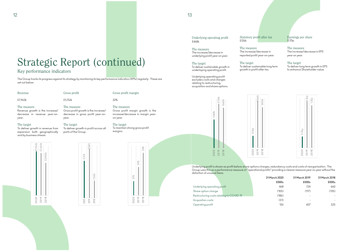### Revenue

### £7,963k

### The measure

Revenue growth is the increase/ decrease in revenue year-onyear.

### The target

To deliver growth in revenue from expansion both geographically and by business stream.

Gross profit

£1,752k

The measure

Gross profit growth is the increase/

year. The target

To deliver growth in profit across all parts of the Group.

decrease in gross profit year-onincrease/decrease in margin yearon-year.

Gross profit margin

22%

The measure

Gross profit margin growth is the

The target To maintain strong gross profit margins.

### Key performance indicators

The Group tracks its progress against its strategy by monitoring its key performance indicators (KPIs) regularly. These are set out below:

> £7,963k £7,655k

> > £5,905k

2020

2019 2018



2020 2019 2018 22% 24%



## Strategic Report (continued)

Underlying operating profit £468k

The measure The increase/decrease in underlying profit year on year.

The target

To deliver sustainable growth in underlaying operating profit.

Underlying operating profit excludes costs and charges relating to restructuring, acquisition and share options. The measure The increase/decrease in reported profit year-on-year.

The target To deliver sustainable long term growth in profit after tax.

### Earnings per share 0.35p

The measure The increase/decrease in EPS year on year.

The target

To deliver long term growth in EPS to enhance Shareholder value.



Underlying profit is shown as profit before share options charges, redundancy costs and costs of reorganisation. The Group uses this as a performance measure of "operational profits" providing a clearer measure year on year without the distortion of unusual items.

Underlying operating profit Share option charge Restructuring costs relating to COVID-19 Acquisition costs



| 31 March 2020 | 31 March 2019 | 31 March 2018 |
|---------------|---------------|---------------|
| £000s         | £000s         | £000s         |
| 468           | 724           | 660           |
| (105)         | (117)         | (135)         |
| (186)         |               |               |
| (51)          |               |               |
| 126           |               | 525           |



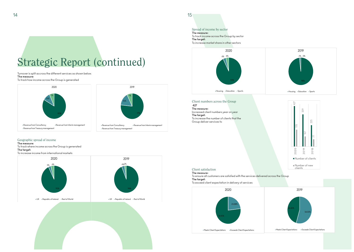### Geographic spread of income

**The measure:** To track where income across the Group is generated **The target:**  To increase income from international markets



Turnover is split accross the different services as shown below. **The measure:**

To track how income across the Group is generated



## Strategic Report (continued)



Housing Education Sports

### Spread of income by sector **The measure:** To track income across the Group by sector **The target:** To increase market share in other sectors



### Client numbers across the Group **427 The measure:** Increased client numbers year on year **The target:** To increase the number of clients that the Group deliver services to





### Client satisfaction

**The measure:**  To ensure all customers are satisfied with the services delivered across the Group **The target:** 

To exceed client expectation in delivery of services

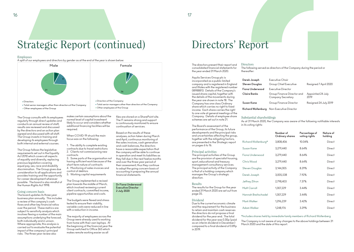The Group consults with its employees regularly through direct updates and conducts an annual review of staff; results are reviewed and discussed by the directors and an action plan agreed and discussed with all staff. The Group invests in training and developing its employees through both internal and external courses.

The Group follows the legislative requirements set out in the Equality Act 2010 which covers all aspects of equality and diversity, replacing previous legislation covering equal pay, sex, race and disability discrimination. The Group gives due consideration to all applications and provides training and the opportunity for career development wherever possible. The board is also mindful of the Human Rights Act 1998.

### Going concern basis

The board updates its three-year business plan annually. This includes a review of the company's cash flows and other key financial ratios over the period. These metrics are subject to sensitivity analysis which involves flexing a number of the main assumptions underlying the forecast, both individually and in unison. Where appropriate, this analysis is carried out to evaluate the potential impact of the company's principal risks. The three-year review also

makes certain assumptions about the normal level of capital investment likely to occur and considers whether additional financing facilities will be required.

When COVID-19 struck the main focus was on the following:

1. The ability to complete existing contracts due to travel restrictions 2. Clients not commissioning new contracts

3. Some parts of the organisation not having sufficient work because of the short-term nature of contracts 4. Monitoring of sales invoices and control of debtors

5. Working capital requirements

The Group implemented a revised plan towards the middle of March, which involved reviewing current client contracts, committed income, pipeline opportunities and costs.

The budgets were flexed and stress tested to ensure their viability, variable costs were reduced in line with a reduction in income.

The majority of employees across the Group were already used to working from home with their own laptops. At the beginning of the financial year the Group switched to Office 365 which makes remote working easier as all

files are stored on a SharePoint site. The IT remains strong and support is continuously monitored to ensure continuation of services.

**Directors** thereafter:

**Derek Joseph Steven Douglas Fiona Underwood Claire Banks** 

**Susan Kane** 

Based on the results of these analyses, action taken during March and April, continuous monitoring of the sales invoices, cash generation and cash balances, the directors have a reasonable expectation that the company will be able to continue in operation and meet its liabilities as they fall due in the next twelve months and over the three-year period of their assessment; thus they continue to adopt the going concern basis of accounting in preparing the annual financial statements.

**Dr Fiona Underwood Executive Director 2 July 2020**



Other employees of the Group

### Employees

A split of our employees and directors by gender as at the end of the year is shown below:

## Strategic Report (continued)

The directors present their report and consolidated financial statements for the year ended 31 March 2020.

Aquila Services Group plc is incorporated as a public limited company and is registered in England and Wales with the registered number 08988813. Details of the Company's issued share capital, together with the details of the movements during the year are shown in note 18. The Company has one class Ordinary share which carries no right to fixed income. Each share carries the right to one vote at general meetings of the Company. Details of employee share schemes are set out in note 21.

The Board's assessment of the performance of the Group, its future developments and the principal risks and uncertainties affecting the group, together with the mitigating factors, are presented in the Strategic report on pages 6 to 16.

### Principal activities

The principal activities of the Group are the provision of specialist housing, sport, educational and treasury management consultancy services. The principal activity of the Company is that of a holding company which manages the Group's strategic direction.

### Results

The results for the Group for the year ended 31 March 2020 are set out from page 35.

### Dividend

Due to the current economic climate and the requirement for the business to retain and maintain cash reserves the directors do not propose a final dividend for the year end. The total dividend for the year was 0.30p (paid as an interim dividend in December) compared to a final dividend of 0.89p in 2019.

The following served as directors of the Company during the period or

### Directors' Report

| Executive Chair                                        |                           |
|--------------------------------------------------------|---------------------------|
| Group Chief Executive                                  | Resigned 7 April 2020     |
| Executive Director                                     |                           |
| Group Finance Director and<br><b>Company Secretary</b> | Appointed 24 July<br>2019 |
| Group Finance Director                                 | Resigned 24 July 2019     |
|                                                        |                           |

**Richard Wollenburg** Non-Executive Director

Substantial shareholdings in its voting rights:

Richard Wollenburg Susan Kane Fiona Underwood Chris Wood

Steven Douglas Derek Joseph

As at 31 March 2020, the Company was aware of the following notifiable interests

Jeffrey Zitron

- Matt Carroll
- Hannah Breitscha
- 
- Mark Walker
- Adam Walker

 $16$  17



|      | Number of<br>Ordinary shares | Percentage of<br>voting rights | Nature of<br>holding |
|------|------------------------------|--------------------------------|----------------------|
| ırg* | 3,808,406                    | 10.04%                         | Direct               |
|      | 3,279,440                    | 8.64%                          | Direct               |
|      | 3,279,440                    | 8.64%                          | Direct               |
|      | 3,279,440                    | 8.64%                          | Direct               |
|      | 3,144,305                    | 8.29%                          | Direct               |
|      | 3,005,538                    | 7.92%                          | Direct               |
|      | 2,798,403                    | 7.37%                          | Direct               |
|      | 1,307,229                    | 3.44%                          | Direct               |
| ıdel | 1,307,229                    | 3.44%                          | Direct               |
|      | 1,296,239                    | 3.42%                          | Direct               |
|      | 1,248,176                    | 3.29%                          | Direct               |

\*Includes shares held by immediate family members of Richard Wollenberg

The Company is not aware of any changes to the above holdings between 31 March 2020 and the date of this report.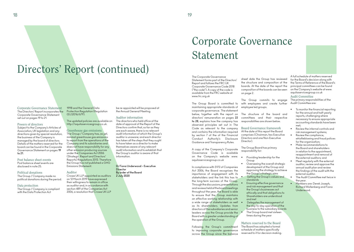Overseeing the overall strategic development of the Group and approving the strategy to achieve Setting the Group's values and

Corporate Governance Statement The Directors' Report incorporates the Corporate Governance Statement set out on pages 19 to 21.

### Powers of directors

Subject to the Company's Articles of Association, UK legislation and any directions given by special resolution, the business of the Company is managed by the board of directors. Details of the matters reserved for the board can be found in the Corporate Governance Statement on pages **19 to 21**.

Post balance sheet events Post balance sheet events are disclosed in note 25.

Political donations The Group / Company made no political donations during the period.

Data protection The Group / Company is compliant with the Data Protection Act

1998 and the General Data Protection Regulation (Regulation (EU)2016/679).

The updated policies are available on http://aquilaservicesgroup.co.uk.

Greenhouse gas emissions The Group / Company has, as yet, minimal greenhouse gas emissions to report from the operations of the Company and its subsidiaries and does not have responsibility for any other emission producing sources under the Companies Act 2006 (Strategic Report and Directors' Reports) Regulations 2013. Therefore the Group has not published a GHG Emissions Statement.

### Auditor

Crowe UK LLP appointed as auditors on 12 March 2019 have expressed their willingness to remain in office as auditor and, in accordance with section 489 of the Companies Act 2006, a resolution that Crowe UK LLP

### Directors' Report (continued)

be re-appointed will be proposed at the Annual General Meeting.

### Auditor information

The directors who held office at the date of approval of the Report of the Directors confirm that, so far as they are each aware, there is no relevant audit information of which the Group's auditor is unaware; and each director has taken all the steps that they ought to have taken as a director to make themselves aware of any relevant audit information and to establish that the Group's auditor is aware of that information.

Board Governance framework At the date of this report the Board comprises (Chairman, two Executive Directors and one Non-Executive Director).

**Dr Fiona Underwood – Executive Director By order of the Board 2 July 2020**

The Corporate Governance Statement forms part of the Directors' Report and follows the FRC UK Corporate Governance Code 2018 ("the code"). A copy of the code is available from the FRC website at www.frc.org.uk

> Ensuring effective governance and risk management and that ethically and that obligations to Shareholders are understood

• Delegates the management of the day-to-day operation of the business to the subsidiary boards The Group board met sixteen

The Group Board is committed to maintaining appropriate standards of corporate governance. The statement below, together with the report on directors' remuneration on pages **22 to 28**, explains how the company has observed principles set out in The Code as relevant to the company and contains the information required by section 7 of the of the Financial Conduct Authority's Disclosure Guidance and Transparency Rules.

A copy of the Company's Corporate Governance Code is available on the Company's website www. aquilaservicesgroup.co.uk

In compliance with S172 of Companies Act 2006, the Board recognises the importance of engagement with its stakeholders and the link this has to the long-term success of the Group. Through the discussions, presentations and reviews held at the board meetings throughout the year, the Board is able to ensure that the Group maintains an effective working relationship with a wide range of stakeholders as well as its shareholders. Updates from directors of the subsidiaries and senior leaders across the Group provide the Board with a greater understanding of the operation of the Group.

Following the Group's commitment to improving corporate governance across the Group since the balance

## Corporate Governance Statement

sheet date the Group has reviewed the structure and composition of the boards. At the date of the report the composition of the boards can be seen on page 2.

The Group commits to engage with employees and create further employee led groups.

The structure of the board and committees and their respective responsibilities are shown below.

The Group Board has primary responsibility for:

- Providing leadership for the Group
- the Group's strategic aims
- standards the Group's businesses act
- and met times during the year

Matters reserved to the Board The Board has adopted a formal schedule of matters specifically reserved to it for decision-making. A full schedule of matters reserved for the Board's decision along with the Terms of Reference of the Board's principal committees can be found on the Company's website at www. aquilaservicesgroup.co.uk

### Audit Committee

The primary responsibilities of the Audit Committee are:

- To monitor the financial reporting for the annual and half-yearly reports, challenging where necessary to ensure appropriate accounting standards have been met;
- Review the internal controls and risk management systems;
- Review the compliance, whistleblowing and fraud polices for the organisation;
- Make recommendations to the Board and shareholders in relation to the appointment, reappointment and removal of the external auditors; and
- Meet regularly with the external auditor, review and approve the annual audit plan and review the findings of the audit with the external auditor.
- The Audit Committee met twice in the year.
- Members are: Derek Joseph, Richard Wollenberg and Fiona Underwood.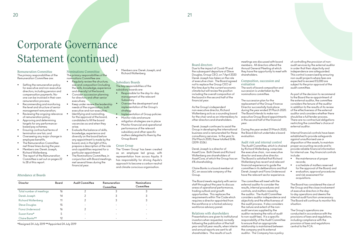Remuneration Committee The primary responsibilities of the Remuneration Committee are:

- Setting the remuneration policy for executive and non-executive directors, including pension and compensation payments. Noone can be involved in their own remuneration process;
- Recommending and monitoring the level and structure of senior management remuneration;
- Reviewing the ongoing relevance of remuneration policy;
- Approving and determining targets for any performancebased pay schemes;
- Ensuring contractual terms of termination are fair; and
- Overseeing any major change in employee benefits.
- The Remuneration Committee met three times during the year. • Members are: Derek Joseph,
- Richard Wollenberg. The report of the Remuneration
- Committee is set out on pages 22 to 28 of this report.

• Members are: Derek Joseph, and Richard Wollenberg

### Subsidiary Boards

The key responsibilities of the subsidiary boards are:

- Responsible for the day-to- day management of the relevant Subsidiary
- Oversee the development and implementation of the Group's strategy
- **Implementation of Group policies**
- Monitor risks and ensure mitigation strategies are in place
- Monitor financial and operational performance of the relevant subsidiary and other specific matters delegated to them by the Group Board

### Green Group

# Corporate Governance Statement (continued)

The 'Green Group' has been created as an employee led group, with representation from across Aquila. It has responsibility for driving Aquila's approach to become a carbon neutral and climate conscious organisation.

### Attendance at Boards

| <b>Director</b>           | <b>Board</b> | <b>Audit Committee</b> | Remuneration | <b>Nominations</b> |  |
|---------------------------|--------------|------------------------|--------------|--------------------|--|
|                           |              |                        | Committee    | Committee          |  |
| Total number of meetings  | 16           |                        | 3            |                    |  |
| Derek Joseph              | 14           |                        | 3            | 3                  |  |
| <b>Richard Wollenberg</b> | 11           |                        | 3            | 3                  |  |
| <b>Steve Douglas</b>      | 15           |                        |              |                    |  |
| Fiona Underwood           | 16           | າ                      |              |                    |  |
| Susan Kane*               | 5            |                        |              |                    |  |
| Claire Banks**            |              |                        |              |                    |  |

\*Resigned 24 July 2019 \*\*Appointed 24 July 2019

Nominations Committee The primary responsibilities of the nominations Committee are:

- Regularly review the structure, size and composition (including the skills, knowledge, experience and diversity) of the board;
- Consider succession planning for directors and other senior executives;
- Keep under review the leadership needs of the organisation, both executive and non-executive;
- Identifying and nominating, for the approval of the board, candidates to fill the board vacancies as and when they arise;
- Evaluate the balance of skills, knowledge, experience and diversity on the board before any appointment is made by the board, and, in the light of this, prepare a description of the role and capabilities required for a particular appointment.
- The Nominations Committee, in conjunction with Board meetings, met several times during the financial year.

Due to the impact of Covid-19 and the subsequent departure of Steve Douglas, Group CEO, on 7 April 2020 Derek Joseph has taken on the role of executive chair. The Board agreed not to replace the Group CEO at this time due to the current economic climate but will review the position including the overall composition of the board in the second half of the financial year.

As the Group's independent non-executive director, Richard Wollenberg acts as a sounding board for the chair and as an intermediary to other directors and shareholders.

Derek Joseph continues to assist the Group in developing the international business and is remunerated for these consultancy services. In the year to 31st March 2020, these totalled £24k. (2019: £53k).

Derek Joseph is a director of AssetCore. Both Derek and Richard Wollenberg are shareholders of AssetCore, of which the Group has an 6% shareholding.

Claire Banks is a board member of 3C, an associate company of the Group.

The Board meets regularly with senior staff throughout the year to discuss areas of operational performance, trading outlook and growth opportunities. This replaces the requirements within The Code which requires a director appointed from the workforce or a formal advisory workforce advisory panel.

### Relations with shareholders

Presentations are given to institutional investors when requested, normally following the publication of the half year and full year results, when interim and annual reports are sent to all shareholders. The results of such

meetings are discussed with board members. All directors attend the Annual General Meeting at which they have the opportunity to meet with shareholders.

### Composition, succession and evaluation

The work of board composition and succession is undertaken by the nominations committee.

The succession plan for the replacement of the Group Finance Director successfully took place during the year ended 31 March 2020. The Board intends to make nonexecutive Group Board appointments in the second half of the financial year.

During the year ended 31 March 2020, the Board did not undertake a board evaluation.

### Audit risk and internal control The Audit Committee, which is chaired

by Richard Wollenberg, comprises the executive chair, non-executive director and executive director. The Board is satisfied that Richard Wollenberg has recent and relevant financial experience to guide the committee in its deliberations and that Derek Joseph and Fiona Underwood have the relevant sector experience.

The committee will meet with the external auditor to consider the results, internal procedures and controls, and matters raised by the auditor. The Audit Committee considers auditor independence and objectivity and the effectiveness of the audit process. It also considers the nature and extent of the nonaudit services supplied by the auditor reviewing the ratio of audit to non-audit fees. It is a specific responsibility of the Audit Committee to ensure that an appropriate relationship is maintained between the company and its external auditor. The Company has a policy

of controlling the provision of nonaudit services by the external auditor in order that their objectivity and independence are safeguarded. This control is exercised by ensuring non-audit projects where fees are expected to exceed £5,000 are subject to the prior approval of the audit committee.

As part of the decision to recommend to the Board the re-appointment of the external auditor, the committee considers the tenure of the auditor in addition to the results of its review of the effectiveness of the external auditor and considers whether there should be a full tender process. There are no contractual obligations restricting the committee's choice of external auditor.

Internal financial controls have been established to provide safeguards against unauthorised use or disposition of the assets, to maintain proper accounting records and to provide reliable financial information for internal use. Key financial controls include:

- the maintenance of proper records;
- a schedule of matters reserved
- for the approval of the Board; and • evaluation, approval procedures and risk assessment for acquisitions.

The Board has considered the size of the Group and the close involvement of executive directors in the dayto-day operations and deems the internal audit function unnecessary. The Board will continue to monitor this situation.

The Group's operations are conducted in accordance with the provisions of laws and regulations, including compliance with the provision of laws and regulations central to the FCA.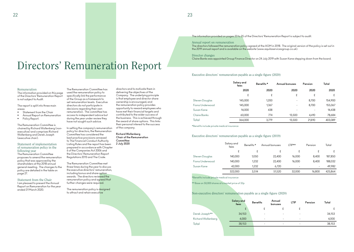### Directors' Remuneration Report

### Remuneration

The information provided on this page of the Directors' Remuneration Report is not subject to Audit.

The report is split into three main areas:

- Statement from the Chair
- Annual Report on Remuneration
- Policy Report.

The Remuneration Committee is chaired by Richard Wollenberg (nonexecutive) and comprises Richard Wollenberg and Derek Joseph (executive chair).

### Statement of implementation of remuneration policy in the following year

The Remuneration Committee proposes to amend the remuneration policy that was approved by the shareholders at the 2018 annual general meeting. The changes to the policy are detailed in the table on page 27.

Statement from the Chair

I am pleased to present the Annual Report on Remuneration for the year ended 31 March 2020.

The Remuneration Committee has used the remuneration policy to specifically link the performance of the Group as a framework to set remuneration levels. Executive directors do not participate in decisions regarding their own remuneration. The committee has access to independent advice but during the year under review they have not sought such advice.

In setting the company's remuneration policy for directors, the Remuneration Committee has considered the best practice provisions annexed to The Financial Conduct Authority Listing Rules and the report has been prepared in accordance with Chapter 6 of the Companies Act 2006 and the Directors' Remuneration Report Regulations 2013 and The Code.

The Remuneration Committee met three times during the year to discuss the executive directors' remuneration, including bonus and share option awards. The directors reviewed the remuneration policy and agreed that further changes were required.

The remuneration policy is designed to attract and retain executive

directors and to motivate them in delivering the objectives of the Company. The underlying principle is that employee and director share ownership is encouraged, and the remuneration policy provides opportunity to reward employees who have met their financial targets and contributed to the wider success of the business. This is achieved through the award of share options. This links their personal interest to the success of the company.

**Richard Wollenberg Chair of the Remuneration Committee 2 July 2020**

### Executive directors' remuneration payable as a single figure (2020)

|                     | Salary and<br>fees | Benefits * | <b>Annual bonuses</b> | Pension | Total   |
|---------------------|--------------------|------------|-----------------------|---------|---------|
|                     | 2020               | 2020       | 2020                  | 2020    | 2020    |
|                     | £                  | £          | £                     | £       | £       |
| Steven Douglas      | 145,000            | 1,200      |                       | 8,700   | 154,900 |
| Fiona Underwood     | 145,000            | 1,367      |                       | 8,700   | 155,067 |
| Susan Kane          | 14,000             | 438        |                       |         | 14,438  |
| <b>Claire Banks</b> | 60,000             | 774        | 13,500                | 4,410   | 78,684  |
| Total               | 364,000            | 3,779      | 13,500                | 21,810  | 403,089 |
|                     |                    |            |                       |         |         |

\*Benefits include private medical insurance

The information provided on pages 23 to 25 of the Directors' Remuneration Report is subject to audit.

### Annual report on remuneration

The directors followed the remuneration policy agreed at the AGM in 2018. The original version of the policy is set out in the 2019 annual report and is available on the website (www.aquilaservicesgroup.co.uk).

### Director changes

Claire Banks was appointed Group Finance Director on 24 July 2019 with Susan Kane stepping down from the board.

### Non-executive directors' remuneration payable as a single figure (2020)

|                    | Salary and<br>fees | <b>Benefits</b>          | Annual<br>bonuses        | <b>LTIP</b>              | Pension | Total  |
|--------------------|--------------------|--------------------------|--------------------------|--------------------------|---------|--------|
|                    |                    |                          |                          |                          |         |        |
| Derek Joseph**     | 34,153             | $\overline{\phantom{0}}$ | $\overline{\phantom{a}}$ | $\overline{\phantom{a}}$ |         | 34,153 |
| Richard Wollenberg | 4,000              | $\overline{\phantom{a}}$ | $\overline{\phantom{a}}$ | $\overline{\phantom{a}}$ |         | 4,000  |
| Total              | 38,153             | $\overline{\phantom{a}}$ | $\overline{\phantom{0}}$ | $\overline{\phantom{a}}$ |         | 38,153 |
|                    |                    |                          |                          |                          |         |        |

Executive directors' remuneration payable as a single figure (2019)

|                       | Salary and<br>fees | Benefits * | Annual bonuses |                          | Pension | Total   |
|-----------------------|--------------------|------------|----------------|--------------------------|---------|---------|
|                       | t.                 | £          | f              |                          |         | f       |
| <b>Steven Douglas</b> | 140,000            | 1,050      | 22,400         | 16,000                   | 8,400   | 187,850 |
| Fiona Underwood       | 140,000            | 1,232      | 22,400         | 16,000                   | 8,400   | 188,032 |
| Susan Kane            | 42,000             | 1.232      | 6.720          | $\overline{\phantom{0}}$ | -       | 49,982  |
|                       | 322,000            | 3,514      | 51,520         | 32,000                   | 16,800  | 425,864 |

\*Benefits include private medical insurance

\*\* Base on 50,000 shares at a market price of 32p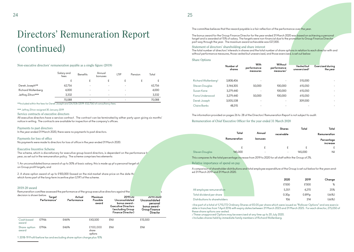### 2019-20 award

Remuneration comittee assessed the performance of the group executive directors against the

| decision is shown below. | Target<br>Performance <sup>1</sup> | Actual<br>Performance | <b>Maximum</b><br>Possible<br>award | 2019/20<br>Unconsolidated<br>bonus award -<br><b>Executive Directors</b><br>Gexcluding Group<br>Finance Director) | 2019/2020<br>Unconsolidated<br>personal<br>bonus award -<br><b>Group Finance</b><br><b>Director</b> |
|--------------------------|------------------------------------|-----------------------|-------------------------------------|-------------------------------------------------------------------------------------------------------------------|-----------------------------------------------------------------------------------------------------|
| Cash based<br>award      | £796k                              | £469k                 | £43,500                             | <b>£Nil</b>                                                                                                       | £13,500                                                                                             |
| Share option<br>award    | £796k                              | £469k                 | £100,000<br>share<br>options        | <b>£Nil</b>                                                                                                       | <b>£Nil</b>                                                                                         |

### Non-executive directors' remuneration payable as a single figure (2019)

|                           | Salary and<br>fees | <b>Benefits</b>          | Annual<br>bonuses        | <b>LTIP</b>              | Pension | Total  |
|---------------------------|--------------------|--------------------------|--------------------------|--------------------------|---------|--------|
|                           |                    |                          |                          |                          |         |        |
| Derek Joseph**            | 62,756             |                          |                          |                          |         | 62,756 |
| <b>Richard Wollenberg</b> | 4,000              |                          |                          |                          |         | 4,000  |
| Jeffrey Zitron***         | 3,332              | $\overline{\phantom{a}}$ | $\overline{\phantom{a}}$ | $\overline{\phantom{0}}$ |         | 3,332  |
|                           | 70,088             | -                        |                          |                          |         | 70,088 |

\*\*Included within the fees for Derek Joseph are £24,153k (2019: £52,756) of consultancy fees.

### \*\*\* Jeffrey Zitron resigned 30 January 2019

The scheme, which is discretionary for executive group board directors, is dependent on the performance  $t<sub>f</sub>$ year, as set out in the remuneration policy. The scheme comprises two elements:

1. An unconsolidated bonus award of up to 30% of basic salary, this is made up pf a personal target of on Group profit targets, and

### Service contracts of executive directors

2. A share option award of up to £100,000 (based on the mid-market share price on the date the which forms part of the long-term incentive plan (LTIP) of the scheme.

All executive directors have a service contract. The contract can be terminated by either party upon giving six months' notice in writing. The contracts are available for inspection at the company's offices.

### Payments to past directors

In the year ended 31 March 2020, there were no payments to past directors.

### Payments for loss of office

No payments were made to directors for loss of office in the year ended 31 March 2020.

### Executive Incentive Scheme

## Directors' Remuneration Report (continued)

1 2018-19 Profit before tax and excluding share option charge plus 10%

Statement of directors' shareholding and share interest The total number of directors' interests in shares and the total number of share options in relation to each director with and without performance measures, those vested but unexercised, and those exercised, is set out below:

### Share Options

| Without<br>performance<br>measures <sup>1</sup> | Vested but<br>unexercised <sup>2</sup> | <b>Exercised during</b><br>the year |
|-------------------------------------------------|----------------------------------------|-------------------------------------|
|                                                 | 515,000                                |                                     |
| 100,000                                         | 615,050                                |                                     |
| 100,000                                         | 615,050                                |                                     |
| 100,000                                         | 615,050                                |                                     |
|                                                 | 309,000                                |                                     |
|                                                 |                                        |                                     |

|                                 | Number of<br>shares | With<br>performance<br>measures | Without<br>performance<br>measures <sup>1</sup> | Vested but<br>unexercised <sup>2</sup> | <b>Exercised during</b><br>the year |
|---------------------------------|---------------------|---------------------------------|-------------------------------------------------|----------------------------------------|-------------------------------------|
|                                 |                     |                                 |                                                 |                                        |                                     |
| Richard Wollenberg <sup>3</sup> | 3,808,406           |                                 |                                                 | 515,000                                |                                     |
| <b>Steven Douglas</b>           | 3,144,305           | 50,000                          | 100,000                                         | 615,050                                |                                     |
| Susan Kane                      | 3,279,440           |                                 | 100,000                                         | 615,050                                |                                     |
| Fiona Underwood                 | 3,279,440           | 50,000                          | 100,000                                         | 615,050                                |                                     |
| Derek Joseph                    | 3,005,538           |                                 |                                                 | 309,000                                |                                     |
| Claire Banks                    | 48,315              |                                 |                                                 |                                        |                                     |

The information provided on pages 26 to 28 of the Directors' Remuneration Report is not subject to audit.

### Remuneration of Chief Executive Officer for the year ended 31 March 2020

|                                                                                                                                                                                                                                                                                                                   |              |         | <b>Shares</b>            | Total   | Total                  |
|-------------------------------------------------------------------------------------------------------------------------------------------------------------------------------------------------------------------------------------------------------------------------------------------------------------------|--------------|---------|--------------------------|---------|------------------------|
|                                                                                                                                                                                                                                                                                                                   | Total        | Annual  | receivable               |         | Remuneration           |
|                                                                                                                                                                                                                                                                                                                   | Remuneration | bonuses |                          |         | Percentage<br>increase |
|                                                                                                                                                                                                                                                                                                                   | £            | £       | £                        | £       | £                      |
| <b>Steven Douglas</b>                                                                                                                                                                                                                                                                                             | 145,000      |         | $\overline{\phantom{a}}$ | 145,000 | Nil                    |
| This compares to the total percentage increase from 2019 to 2020 for all staff within the Group of 2%.<br>Relative importance of spend on pay<br>A comparison of shareholder distributions and total employee expenditure of the Group is set out below for the years end-<br>ed 31 March 2019 and 31 March 2020. |              |         |                          |         |                        |
|                                                                                                                                                                                                                                                                                                                   |              |         | 2020                     | 2019    | Change                 |
|                                                                                                                                                                                                                                                                                                                   |              |         | £'000                    | £'000   | %                      |
| All employee remuneration                                                                                                                                                                                                                                                                                         |              |         | 5,351                    | 4,270   | 25%                    |
| Total dividend per share                                                                                                                                                                                                                                                                                          |              |         | 0.30 <sub>p</sub>        | 0.891p  | (66%)                  |
| Distributions to shareholders                                                                                                                                                                                                                                                                                     |              |         | 106                      | 314     | (66%)                  |
| 1 Are part of a total of 1,713,772 Ordinary Shares at £0.05 per share which were issued as "Rollover Options" and are exercis-                                                                                                                                                                                    |              |         |                          |         |                        |

able in tranches from 1 April 2016 with expiry dates between 31 March 2023 and 31 March 2025. For each director, 275,050 of

these share options are vested.

2 These unapproved Options may be exercised at any time up to 20 July 2020.

3 Includes shares held by immediate family members of Richard Wollenberg.

The committee believes that the reward payable is a fair reflection of the performance over the year.

The bonus award for the Group Finance Director for the year ended 31 March 2020 was based on achieving a personal target and is awarded at 15% of salary. The targets were non-financial due to the promotion to Group Finance Director part-way through the year. The maximum award achievable was £27,000.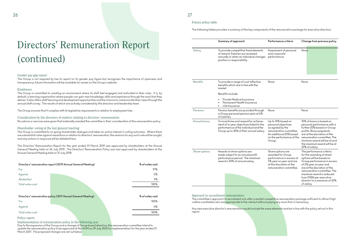### Gender pay gap report

The Group is not required by law to report on its gender pay figure but recognises the importance of openness and transparency; future information will be available for review on the Group's website.

### Employees

The Group is committed to creating an environment where its staff feel engaged and motivated in their roles. It is, by default, a learning organisation where people can gain new knowledge, skills and experience through the work that they deliver. It also offers staff learning and development opportunities and the chance to communicate their views through the annual staff survey. The results of which are actively considered by the directors and leadership team.

The Group ensures that it complies with its legislative requirements in relation to employment law.

### Consideration by the directors of matters relating to directors' remuneration

No advice or services were given that materially assisted the committee in their consideration of the remuneration policy.

### Shareholder voting at the last general meeting

The Group is committed to on-going shareholder dialogue and takes an active interest in voting outcomes. Where there are substantial votes against resolutions in relation to directors' remuneration, the reasons for any such vote will be sought, and any actions in response will be detailed here.

The Directors' Remuneration Report for the year ended 31 March 2019 was approved by shareholders at the Annual General Meeting held on 24 July 2019. The Directors' Remuneration Policy was last approved by shareholders at the Annual General Meeting held on 31 July 2018.

|                  | Directors' remuneration report (2019 Annual General Meeting) | % of votes cast |
|------------------|--------------------------------------------------------------|-----------------|
| For              |                                                              | 91%             |
| Against          |                                                              | 0%              |
| Abstention       |                                                              | 9%              |
| Total votes cast |                                                              | 100%            |
|                  |                                                              |                 |
|                  | Directors' remuneration policy (2017 Annual General Meeting) | % of votes cast |
| For              |                                                              | 100%            |
| Against          |                                                              | 0%              |
| Total votes cast |                                                              | 100%            |
| Policy report    |                                                              |                 |

Implementation of remuneration policy in the following year

Due to the expansion of the Group and a change of Group board directors, the remuneration committee intend to update the remuneration policy to be approved at the AGM on 29 July 2020 for implementation for the year ended 31 March 2021. The proposed changes are set out below.

## Directors' Remuneration Report (continued)

### Future policy table

The following tables provides a summary of the key components of the remuneration package for executive directors:

|                 | Summary of approach                                                                                                                                                    | Performance criteria                                                                                                                                       | Change from previous policy                                                                                                                                                                                                                                                                                     |
|-----------------|------------------------------------------------------------------------------------------------------------------------------------------------------------------------|------------------------------------------------------------------------------------------------------------------------------------------------------------|-----------------------------------------------------------------------------------------------------------------------------------------------------------------------------------------------------------------------------------------------------------------------------------------------------------------|
| Salary          | To provide competitive fixed elements<br>of reward. Salaries are reviewed<br>annually or when an individual changes<br>position or responsibility.                     | Assessment of personal<br>and corporate<br>performance.                                                                                                    | None                                                                                                                                                                                                                                                                                                            |
| <b>Benefits</b> | To provide a range of cost-effective<br>benefits which are in-line with the<br>market.                                                                                 | None                                                                                                                                                       | None                                                                                                                                                                                                                                                                                                            |
|                 | Benefits include:                                                                                                                                                      |                                                                                                                                                            |                                                                                                                                                                                                                                                                                                                 |
|                 | Private Medical Insurance<br>Permanent Health Insurance<br>Life Insurance                                                                                              |                                                                                                                                                            |                                                                                                                                                                                                                                                                                                                 |
| Pensions        | Pension benefits are provided through<br>a Group personal pension plan at 6%<br>of salaries.                                                                           | None                                                                                                                                                       | None                                                                                                                                                                                                                                                                                                            |
| Annual bonus    | To incentivise and reward for achieve-<br>ment of in-year objectives linked to the<br>performance of the individual and the<br>Group up to 30% of their annual salary. | Up to 10% based on<br>personal objectives<br>as agreed by the<br>remuneration committee.<br>An additional 20% based<br>on the performance of the<br>Group. | 10% of bonus is based on<br>personal performance with a<br>further 20% based on Group<br>profits. Bonus payments<br>are at the discretion of the<br>remuneration committee. The<br>minimum award will be nil and<br>the maximum award will be at<br>30% of salary.                                              |
| Share options   | Awards of share options are<br>made subject to an annual profit<br>performance period. The maximum<br>award is 30% of annual salary.                                   | Share options are<br>awarded for Group<br>performance in excess of<br>5% year on year and are<br>at the discretion of the<br>remuneration committee.       | The performance criteria<br>for the awarding of share<br>options will be based on<br>Group performance in excess<br>of 5% year on year and<br>are at the discretion of the<br>remuneration committee. The<br>maximum award is reduced<br>from £100k per executive<br>director to a maximum of 30%<br>of salary. |

|               | Summary of approach                                                                                                                                                    | Performance criteria                                                                                                                                       | Change from previous policy                                                                                                                                                                                                                                                                                     |
|---------------|------------------------------------------------------------------------------------------------------------------------------------------------------------------------|------------------------------------------------------------------------------------------------------------------------------------------------------------|-----------------------------------------------------------------------------------------------------------------------------------------------------------------------------------------------------------------------------------------------------------------------------------------------------------------|
| Salary        | To provide competitive fixed elements<br>of reward. Salaries are reviewed<br>annually or when an individual changes<br>position or responsibility.                     | Assessment of personal<br>and corporate<br>performance.                                                                                                    | None                                                                                                                                                                                                                                                                                                            |
| Benefits      | To provide a range of cost-effective<br>benefits which are in-line with the<br>market.                                                                                 | None                                                                                                                                                       | None                                                                                                                                                                                                                                                                                                            |
|               | Benefits include:                                                                                                                                                      |                                                                                                                                                            |                                                                                                                                                                                                                                                                                                                 |
|               | Private Medical Insurance<br>Permanent Health Insurance<br>Life Insurance                                                                                              |                                                                                                                                                            |                                                                                                                                                                                                                                                                                                                 |
| ensions       | Pension benefits are provided through<br>a Group personal pension plan at 6%<br>of salaries.                                                                           | None                                                                                                                                                       | None                                                                                                                                                                                                                                                                                                            |
| Annual bonus  | To incentivise and reward for achieve-<br>ment of in-year objectives linked to the<br>performance of the individual and the<br>Group up to 30% of their annual salary. | Up to 10% based on<br>personal objectives<br>as agreed by the<br>remuneration committee.<br>An additional 20% based<br>on the performance of the<br>Group. | 10% of bonus is based on<br>personal performance with a<br>further 20% based on Group<br>profits. Bonus payments<br>are at the discretion of the<br>remuneration committee. The<br>minimum award will be nil and<br>the maximum award will be at<br>30% of salary.                                              |
| Share options | Awards of share options are<br>made subject to an annual profit<br>performance period. The maximum<br>award is 30% of annual salary.                                   | Share options are<br>awarded for Group<br>performance in excess of<br>5% year on year and are<br>at the discretion of the<br>remuneration committee.       | The performance criteria<br>for the awarding of share<br>options will be based on<br>Group performance in excess<br>of 5% year on year and<br>are at the discretion of the<br>remuneration committee. The<br>maximum award is reduced<br>from £100k per executive<br>director to a maximum of 30%<br>of salary. |

Approach to recruitment remuneration The committee's approach to recruitment is to offer a market competitive remuneration package sufficient to attract high calibre candidates who are appropriate to the role but without paying any more than is necessary.

Any new executive director's remuneration would include the same elements and be in line with the policy set out in this report.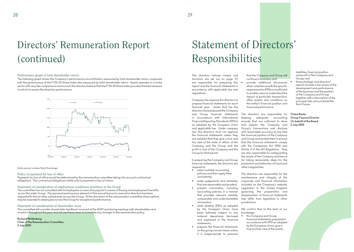### Performance graph of total shareholder return

The following graph shows the Company's performance since flotation, measured by total shareholder return, compared with the performance of the FTSE All Share Index also measured by total shareholder return. Aquila operates in a niche sector with very few comparisons and as such the directors believe that the FTSE All Share Index provides the best measure on which to assess the directors performance.



### Data source: London Stock Exchange

### Policy on payment for loss of office

Payments for loss of office would be determined by the remuneration committee taking into account contractual obligations. The contractual obligations relate only to payments in lieu of notice.

### Statement of consideration of employment conditions elsewhere in the Group

The committee has not consulted with its employees on executive pay but is aware of the pay and employment benefits across the wider Group. The personal performance element of the annual bonus for executive directors has been aligned with that of other subsidiaries across the Group. At the discretion of the remuneration committee share options may be awarded to employees across the Group for exceptional performance.

### Statement of consideration of shareholder views

The directors are responsible for the maintenance and integrity of the corporate and financial information included on the Company's website. Legislation in the United Kingdom governing the preparation and dissemination of financial statements may differ from legislation in other jurisdictions.

The committee will consider shareholder feedback received at the AGM and during meetings with shareholders and investors throughout the year and will use these views to formulate any changes to the remuneration policy.

The directors (whose names and functions are set out on page 17) are responsible for preparing this report and the financial statements in accordance with applicable law and regulations.

**Richard Wollenberg Chair of the Remuneration Committee 2 July 2020**

## Directors' Remuneration Report (continued)

that the Company and Group will

continue in business; and financial performance.

• provide additional disclosures when compliance with the specific requirements in IFRSs is insufficient to enable users to understand the impact of particular transactions, other events and conditions on the entity's financial position and

The directors are responsible for keeping adequate accounting records that are sufficient to show and explain the Company and Group's transactions and disclose with reasonable accuracy at any time the financial position of the Company and Group and enable them to ensure that the financial statements comply with the Companies Act 2006 and Article 4 of the IAS Regulation. They are also responsible for safeguarding the assets of the Company and hence for taking reasonable steps for the prevention and detection of fraud and other irregularities.

We confirm that to the best of our knowledge:

• the Company and Group financial statements, prepared in accordance with IFRS as adopted by the European Union, give a true and fair view of the assets,

Company law requires the directors to prepare financial statements for each financial year. Under that law the directors have prepared the Company and Group financial statements in accordance with International Financial Reporting Standards (IFRSs) as adopted by the European Union and applicable law. Under company law, the directors must not approve the financial statements unless they are satisfied that they give a true and fair view of the state of affairs of the Company and the Group and the profit or loss of the Company and the Group for that period.

In preparing the Company and Group financial statements, the directors are required to:

- select suitable accounting policies and then apply them consistently;
- make judgements and estimates that are reasonable and prudent;
- present information, including accounting policies, in a manner that provides relevant, reliable, comparable and understandable information;
- state whether IFRSs as adopted by the European Union have been followed, subject to any material departures disclosed and explained in the financial statements;
- prepare the financial statements on the going concern basis unless it is inappropriate to presume

liabilities, financial position and profit of the Company and Group; and

• these strategic and directors' reports include a fair review of the development and performance of the business and the position of the Company and Group together with a description of the principal risks and uncertainties that it faces.

**Claire Banks Group Finance Director On behalf of the Board 2 July 2020**

# Statement of Directors' Responsibilities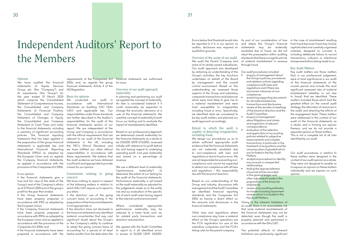# Independent Auditors' Report to the Members

### Opinion

statements of Aquila Services Group plc (the "Company") and its subsidiaries (the 'Group') for the year ended 31 March 2020 which comprise the Consolidated Statement of Comprehensive Income, the Consolidated and Company Statements of Financial Position, the Consolidated and Company Statement of Changes in Equity, the Consolidated and Company Statement of Cash Flows and notes to the financial statements, including a summary of significant accounting policies. The financial reporting framework that has been applied in the preparation of the group financial statements is applicable law and International Financial Reporting Standards (IFRSs) as adopted by the European Union and, as regards the Company financial statements, as applied in accordance with the provisions of the Companies Act 2006.

• the Company financial statements have been properly prepared in accordance with IFRSs as adopted by the European Union and as applied in accordance with the provisions of the Companies Act 2006; and

We have audited the financial 2006; and, as regards the group requirements of the Companies Act financial statements, Article 4 of the IAS Regulation.

### In our opinion:

• the financial statements give a true and fair view of the state of the Group's and of the Company's affairs as at 31 March 2020 and of the group's profit for the year then ended;

• the Group financial statements have been properly prepared in concern basis of accounting in the accordance with IFRS as adopted by the European Union;

• the directors' use of the going preparation of the financial statements is not appropriate; or

• the financial statements have been prepared in accordance with the

### Basis for opinion

We conducted our audit in accordance with International Standards on Auditing (UK) (ISAs (UK)) and applicable law. Our responsibilities under those standards are further described in the Auditor's responsibilities for the audit of the financial statements section of our report. We are independent of the Group and Company in accordance with the ethical requirements that are relevant to our audit of the financial statements in the UK, including the FRC's Ethical Standard, and we have fulfilled our other ethical responsibilities in accordance with these requirements. We believe that the audit evidence we have obtained is sufficient and appropriate to provide a basis for our opinion.

### Conclusions relating to going concern

We have nothing to report in respect of the following matters in relation to which ISAs (UK) require us to report to you when:

• the directors have not disclosed in the financial statements any identified material uncertainties that may cast significant doubt about the Group's or the Company's ability to continue to adopt the going concern basis of accounting for a period of at least twelve months from the date when the

financial statements are authorised for issue.

### Overview of our audit approach materiality

In planning and performing our audit we applied the concept of materiality. An item is considered material if it could reasonably be expected to change the economic decisions of a user of the financial statements. We used the concept of materiality to both focus our testing and to evaluate the impact of misstatements identified.

examining supporting documents transactions and disclosures; review of the minutes of meetings of the board of directors and the

Based on our professional judgement, we determined overall materiality for the financial statements as a whole to be £50,000 (2019 £75,000), assessed initially with reference to profit before tax and having regard to underlying operating profit. Last year materiality was based on a percentage of revenue.

> review of accounting estimates for biases including impairment reviews which is included in the

We use a different level of materiality ('performance materiality') to determine the extent of our testing for the audit of the financial statements. Performance materiality is set based on the audit materiality as adjusted for the judgements made as to the entity risk and our evaluation of the specific risk of each audit area having regard to the internal control environment.

Where considered appropriate performance materiality may be reduced to a lower level, such as, for related party transactions and directors' remuneration.

We agreed with the Audit Committee to report to it all identified errors in excess of £2,000 (2019: £4,000).

Errors below that threshold would also be reported to it if, in our opinion as auditor, disclosure was required on qualitative grounds.

### Overview of the scope of our audit

We audit the Parent Company and some of its wholly owned subsidiaries. Our audit approach was developed by obtaining an understanding of the Group's activities, the key functions undertaken on behalf of the Board by management and the overall control environment. Based on this understanding we assessed those aspects of the Group and subsidiary companies transactions and balances which were most likely to give rise to a material misstatement and were most susceptible to irregularities including fraud or error. Specifically, we identified what we considered to be key audit matters and planned our audit approach accordingly.

### Extent to which the audit is capable of detecting irregularities, including fraud

We design our procedures so as to obtain sufficient appropriate audit evidence that the financial statements are not materially misstated due to non-compliance with laws and regulations or due to fraud or error. We are not responsible for preventing noncompliance and cannot be expected to detect non-compliance with all laws and regulations – this responsibility lies with the board of directors.

Based on our understanding of the Group and industry, discussions with management and the Audit Committee we identified financial reporting standards and the Companies Act 2006 as having a direct effect on the amounts and disclosures in the financial statements.

Other laws and regulations where non-compliance may have a material effect on the Group's operations are the FCA registration for one of the subsidiary companies and the FCA's listing rules for the parent company.

As part of our consideration of how and where the Group's financial statements may be materially misstated due to fraud, we did not rebut the presumption within auditing standards that there is a significant risk of material misstatement in revenue through fraud.

Our audit procedures included:

• enquiry of management about the Group's policies, procedures and related controls regarding

- compliance with laws and regulations and if there are any known instances of noncompliance;
- for all material balances,
- Audit Committee; • enquiry of management
- about litigations and claims and inspection of relevant correspondence; • evaluation of the selection
- Matters:
- any unusual or unexpected relationships; • testing the appropriateness of journal entries recorded in the general ledger and preparation of the financial statements;
- Key Audit Matters.

and application of accounting policies related to subjective measurements and complex transactions, in particular in the treatment of acquisitions and the carrying value of goodwill which are included in the Key Audit

• analytical procedures to identify

other adjustments made in the

Owing to the inherent limitations of an audit, there is an unavoidable risk that some material misstatements of the financial statements may not be detected, even though the audit is properly planned and performed in accordance with the ISAs (UK).

The potential effects of inherent limitations are particularly significant

in the case of misstatement resulting from fraud because fraud may involve sophisticated and carefully organised schemes designed to conceal it, including deliberate failure to record transactions, collusion or intentional misrepresentations being made to us.

### Key Audit Matters

Key audit matters are those matters that, in our professional judgement, were of most significance in our qudit of the financial statements of the current period and include the most significant assessed risks of material misstatement (whether or not due to fraud) that we identified. These matters included those which had the greatest effect on: the overall audit strategy, the allocation of resources in the audit; and directing the efforts of the engagement team. These matters were addressed in the context of our audit of the financial statements as a whole, and in forming our opinion thereon, and we do not provide a separate opinion on these matters. This is not a complete list of all risks

identified by our audit.

Our audit procedures in relation to these matters were designed in the context of our audit opinion as a whole. They were not designed to enable us to express an opinion on these matters individually and we express no such opinion.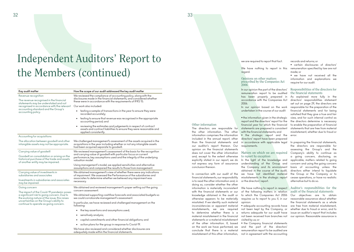### **Key audit matter How the scope of our audit addressed the key audit matter** Revenue recognition The revenue recognised in the financial statements may be understated and not recognised in accordance with the relevant accounting standard and the Group's accounting policy. We reviewed the compliance of accounting policy, along with the disclosures made in the financial statements, and considered whether these were in accordance with the requirements of IFRS 15. Our work also included: • testing a sample of transactions in the year to ensure they were recorded accurately; • testing to ensure that revenue was recognised in the appropriate accounting period; and reviewing the estimates and judgements in respect of contract assets and contract liabilities to ensure they were reasonable and applied consistently. Accounting for acquisitions The allocation between goodwill and other intangible assets may not be appropriate. We challenged management's assessment of the assets acquired in the acquisitions in the year including whether or not any intangible assets had been acquired separate to goodwill. Carrying value of goodwill Goodwill on consolidation or arising on the historical purchase of the trade and assets of another entity may be impaired. We reviewed management's assessment of the basis for the recognition and carrying value of goodwill with particular focus on current performance, key assumptions used and the integrity of the underlying valuation model. Using management's model, we applied sensitivities and alternative assumptions and compared the results to those from management. Carrying value of investments in subsidiaries and associates Investments in subsidiaries and associates may be impaired. We obtained management's view of whether there were any indications of impairment. We assessed the Performance of the subsidiaries and associates to determine whether we believed any impairment was necessary. Going concern The impact of the Covid-19 pandemic poses a significant risk to going concern. Due to the evolving nature of the issue, this raises uncertainties on the Group's ability to continue to operate as going concern. We obtained and reviewed management's paper setting out the going concern assessment. We obtained supporting cashflow forecasts and associated budgets so we could corroborate management's assessment. In particular, we have reviewed and challenged management on the following: • the key assertions and assumptions used; • sensitively analysis; • capital commitments and other financial obligations; and • action plans for the group in response to Covid-19. We have also reviewed and considered whether disclosures are

We have nothing to report in respect of the following matters in relation to which the Companies Act 2006 requires us to report to you if, in our opinion:

adequately made within the financial statements.

# Independent Auditors' Report to the Members (continued)

Other information

The directors are responsible for the other information. The other information comprises the information included in the annual report, other than the financial statements and our auditor's report thereon. Our opinion on the financial statements does not cover the other information and, except to the extent otherwise explicitly stated in our report, we do not express any form of assurance

conclusion thereon.

In connection with our audit of the financial statements, our responsibility is to read the other information and, in doing so, consider whether the other information is materially inconsistent with the financial statements or our knowledge obtained in the audit or otherwise appears to be materially misstated. If we identify such material inconsistencies or apparent material misstatements, we are required to determine whether there is a material misstatement in the financial statements or a material misstatement of the other information. If, based on the work we have performed, we conclude that there is a material misstatement of this other information, we are required to report that fact.

We have nothing to report in this

regard.

Opinions on other matters prescribed by the Companies Act 2006

In our opinion the part of the directors' remuneration report to be audited has been properly prepared in accordance with the Companies Act

2006.

In our opinion based on the work undertaken in the course of our audit:

• the information given in the strategic report and the directors' report for the financial year for which the financial statements are prepared is consistent with the financial statements; and • the strategic report and the directors' report have been prepared in accordance with applicable legal requirements.

to report by exception In the light of the knowledge and understanding of the Group and the Company and its environment obtained in the course of the audit, we have not identified material misstatements in the strategic report or the directors' report.

• adequate accounting records have not been kept by the Company, or returns adequate for our audit have not been received from branches not visited by us; or

• the Company financial statements and the part of the directors' remuneration report to be audited are not in agreement with the accounting

 $32$   $33$ 

records and returns; or

• certain disclosures of directors' remuneration specified by law are not made; or

• we have not received all the information and explanations we require for our audit.

Matters on which we are required Company's ability to continue as In preparing the financial statements, the directors are responsible for assessing the Group's and the a going concern, disclosing, as applicable, matters related to going concern and using the going concern basis of accounting unless the directors either intend to liquidate the Group or the Company or to cease operations, or have no realistic alternative but to do so.

### Responsibilities of the directors for the financial statements

As explained more fully in the directors' responsibilities statement set out on page 29, the directors are responsible for the preparation of the financial statements and for being satisfied that they give a true and fair view, and for such internal control as the directors determine is necessary to enable the preparation of financial statements that are free from material misstatement, whether due to fraud or error.

### Auditor's responsibilities for the audit of the financial statements

Our objectives are to obtain reasonable assurance about whether the financial statements as a whole are free from material misstatement, whether due to fraud or error, and to issue an auditor's report that includes our opinion. Reasonable assurance is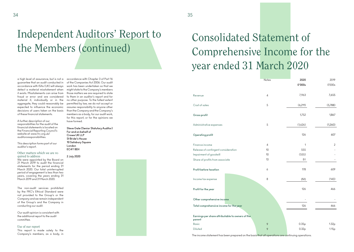a high level of assurance, but is not a  $\;$  accordance with Chapter 3 of Part 16  $\;$ guarantee that an audit conducted in of the Companies Act 2006. Our audit accordance with ISAs (UK) will always work has been undertaken so that we detect a material misstatement when might state to the Company's members those matters we are required to state fraud or error and are considered tothem in an auditor's report and for material if, individually or in the no-other-purpose. To the fullest extent aggregate, they could reasonably be permitted by law, we do not accept or assume responsibility to anyone other than the Company and the Company's members as a body, for our audit work, for this report, or for the opinions we have formed.

> **Steve Gale (Senior Statutory Auditor) For and on behalf of Crowe UK LLP St Bride's House 10 Salisbury Square London EC4Y 8EH**

**2 July 2020**



### **Operating profit**

### **Profit before taxation**

it exists. Misstatements can arise from expected to influence the economic decisions of users taken on the basis of these financial statements.

A further description of our responsibilities for the audit of the financial statements is located on the Financial Reporting Council's website at: www.frc.org.uk/ auditorsresponsibilities.

This description forms part of our auditor's report.

### Other matters which we are required to address

We were appointed by the Board on 21 March 2019 to audit the financial statements for the period ending 31 March 2020. Our total uninterrupted period of engagement is less than two years, covering the years ending 31 March 2019 and 31 March 2020.

The non-audit services prohibited by the FRC's Ethical Standard were not provided to the Group's or the Company and we remain independent of the Group's and the Company in conducting our audit.

Our audit opinion is consistent with the additional report to the audit committee.

### Use of our report

This report is made solely to the Company's members, as a body, in

## Independent Auditors' Report to the Members (continued)

# Consolidated Statement of Comprehensive Income for the year ended 31 March 2020

|                                                            | <b>Notes</b>   | 2020<br>£'000s | 2019<br>£'000s |
|------------------------------------------------------------|----------------|----------------|----------------|
| Revenue                                                    | 4              | 7,963          | 7,655          |
| Cost of sales                                              | 5              | (6,211)        | (5,788)        |
| Gross profit                                               |                | 1,752          | 1,867          |
| Administrative expenses                                    | 5              | (1,626)        | (1,260)        |
| <b>Operating profit</b>                                    |                | 126            | 607            |
| Finance income                                             | $\overline{4}$ | 1              | $\mathbf{2}$   |
| Release of contingent consideration                        | 10             | 555            |                |
| Impairment of goodwill                                     | 10             | (555)          |                |
| Share of profits from associate                            | 13             | 51             |                |
| Profit before taxation                                     | 6              | 178            | 609            |
| Income tax expense                                         | 8              | (52)           | (143)          |
| Profit for the year                                        |                | 126            | 466            |
| Other comprehensive income                                 |                |                |                |
| Total comprehensive income for the year                    |                | 126            | 466            |
| Earnings per share attributable to owners of the<br>parent |                |                |                |
| <b>Basic</b>                                               | $\mathcal{P}$  | 0.35p          | 1.32p          |
| Diluted                                                    | 9              | 0.32p          | 1.15p          |
|                                                            |                |                |                |

### **Earnings per share attributable to owners of the parent**

The income statement has been prepared on the basis that all operations are continuing operations.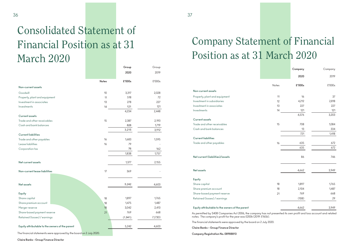# Consolidated Statement of Financial Position as at 31 March 2020

|                                                 |       | Group   | Group   |
|-------------------------------------------------|-------|---------|---------|
|                                                 |       | 2020    | 2019    |
|                                                 | Notes | £'000s  | £'000s  |
| Non-current assets                              |       |         |         |
| Goodwill                                        | 10    | 3,317   | 2,028   |
| Property, plant and equipment                   | 11    | 518     | 72      |
| Investment in associates                        | 13    | 278     | 227     |
| Investments                                     | 14    | 121     | 121     |
|                                                 |       | 4,234   | 2,448   |
| <b>Current assets</b>                           |       |         |         |
| Trade and other receivables                     | 15    | 2,387   | 2,193   |
| Cash and bank balances                          |       | 828     | 1,719   |
|                                                 |       | 3,215   | 3,912   |
| <b>Current liabilities</b>                      |       |         |         |
| Trade and other payables                        | 16    | 1,683   | 1,595   |
| Lease liabilities                               | 16    | 79      |         |
| Corporation tax                                 |       | 76      | 162     |
|                                                 |       | 1,838   | 1,757   |
| Net current assets                              |       | 1,377   | 2,155   |
| Non-current lease liabilities                   | 17    | 369     |         |
|                                                 |       |         |         |
| Net assets                                      |       | 5,242   | 4,603   |
| Equity                                          |       |         |         |
| Share capital                                   | 18    | 1,897   | 1,765   |
| Share premium account                           | 18    | 1,475   | 1,487   |
| Merger reserve                                  | 18    | 3,042   | 2,413   |
| Share-based payment reserve                     | 21    | 769     | 668     |
| Retained (losses) / earnings                    |       | (1,941) | (1,730) |
| Equity attributable to the owners of the parent |       | 5,242   | 4,603   |

The financial statements were approved by the board on 2 July 2020.

**Claire Banks - Group Finance Director**

# Company Statement of Financial Position as at 31 March 2020

Property, plant and equipment Investment in subsidiaries Investment in associates **Current assets** Trade and other receivables Cash and bank balances **Current liabilities** Trade and other payables  $N$ et current (liabilities)/assets **Equity** Share capital Share premium account Share-based payment reserve

### **Equity attributable to the owners of the parent**

|                                                 |       | Company | Company |
|-------------------------------------------------|-------|---------|---------|
|                                                 |       | 2020    | 2019    |
|                                                 | Notes | £'000s  | £'000s  |
| Non-current assets                              |       |         |         |
| Property, plant and equipment                   | 11    | 16      | 37      |
| Investment in subsidiaries                      | 12    | 4,212   | 2,818   |
| Investment in associates                        | 13    | 227     | 227     |
| Investments                                     | 14    | 121     | 121     |
|                                                 |       | 4,576   | 3,203   |
| Current assets                                  |       |         |         |
| Trade and other receivables                     | 15    | 708     | 1,084   |
| Cash and bank balances                          |       | 13      | 334     |
|                                                 |       | 721     | 1,418   |
| <b>Current liabilities</b>                      |       |         |         |
| Trade and other payables                        | 16    | 635     | 672     |
|                                                 |       | 635     | 672     |
| Net current (liabilities)/assets                |       | 86      | 746     |
| Net assets                                      |       | 4,662   | 3,949   |
| Equity                                          |       |         |         |
| Share capital                                   | 18    | 1,897   | 1,765   |
| Share premium account                           | 18    | 2,104   | 1,487   |
| Share-based payment reserve                     | 21    | 769     | 668     |
| Retained (losses) / earnings                    |       | (108)   | 29      |
| Equity attributable to the owners of the parent |       | 4,662   | 3,949   |
|                                                 |       |         |         |

As permitted by S408 Companies Act 2006, the company has not presented its own profit and loss account and related notes. The company's profit for the year was £200k (2019: £165k).

The financial statements were approved by the board on 2 July 2020.

**Claire Banks – Group Finance Director**

**Company Registration No. 08988813**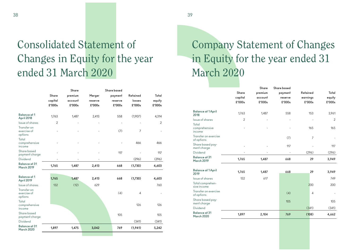# Consolidated Statement of Changes in Equity for the year ended 31 March 2020

|                                           |                | Share   |         | Share based |                |                |
|-------------------------------------------|----------------|---------|---------|-------------|----------------|----------------|
|                                           | Share          | premium | Merger  | payment     | Retained       | Total          |
|                                           | capital        | account | reserve | reserve     | losses         | equity         |
|                                           | £'000s         | £'000s  | £'000s  | £'000s      | £'000s         | £'000s         |
|                                           |                |         |         |             |                |                |
| <b>Balance at 1</b><br>April 2018         | 1,763          | 1,487   | 2,413   | 558         | (1,907)        | 4,314          |
| Issue of shares                           | $\overline{2}$ |         |         |             |                | $\overline{2}$ |
| Transfer on<br>exercise of<br>options     |                |         |         | (7)         | $\overline{7}$ |                |
| Total<br>comprehensive<br>income          |                |         |         |             | 466            | 466            |
| Share based<br>payment charge             |                |         |         | 117         |                | 117            |
| Dividend                                  |                |         |         |             | (296)          | (296)          |
| <b>Balance at 31</b><br><b>March 2019</b> | 1,765          | 1,487   | 2,413   | 668         | (1,730)        | 4,603          |
| <b>Balance at 1</b><br>April 2019         | 1,765          | 1,487   | 2,413   | 668         | (1,730)        | 4,603          |
| Issue of shares                           | 132            | (12)    | 629     |             |                | 760            |
| Transfer on<br>exercise of<br>options     |                |         |         | (4)         | $\overline{4}$ |                |
| Total<br>comprehensive<br>income          |                |         |         |             | 126            | 126            |
| Share based<br>payment charge             |                |         |         | 105         |                | 105            |
| Dividend                                  |                |         |         |             | (341)          | (341)          |
| <b>Balance at 31</b><br><b>March 2020</b> | 1,897          | 1,475   | 3,042   | 769         | (1,941)        | 5,242          |

# Company Statement of Changes in Equity for the year ended 31 March 2020

|                                           |                | Share                    | Share based |                |                |
|-------------------------------------------|----------------|--------------------------|-------------|----------------|----------------|
|                                           | Share          | premium                  | payment     | Retained       | Total          |
|                                           | capital        | account                  | reserve     | earnings       | equity         |
|                                           | £'000s         | £'000s                   | £'000s      | £'000s         | £'000s         |
|                                           |                |                          |             |                |                |
| <b>Balance at 1 April</b><br>2018         | 1,763          | 1,487                    | 558         | 153            | 3,961          |
| Issue of shares                           | $\overline{2}$ | $\overline{\phantom{a}}$ |             |                | $\overline{2}$ |
| Total<br>comprehensive                    |                |                          |             | 165            | 165            |
| income                                    |                |                          |             |                |                |
| Transfer on exercise<br>of options        |                |                          | (7)         | 7              |                |
| Share based pay-<br>ment charge           |                |                          | 117         |                | 117            |
| Dividend                                  |                |                          |             | (296)          | (296)          |
| <b>Balance at 31</b><br><b>March 2019</b> | 1,765          | 1,487                    | 668         | 29             | 3,949          |
|                                           |                |                          |             |                |                |
| <b>Balance at 1 April</b><br>2019         | 1,765          | 1,487                    | 668         | 29             | 3,949          |
| Issue of shares                           | 132            | 617                      |             |                | 749            |
| Total comprehen-<br>sive income           |                |                          |             | 200            | 200            |
| Transfer on exercise<br>of options        |                |                          | (4)         | $\overline{4}$ |                |
| Share based pay-<br>ment charge           |                |                          | 105         |                | 105            |
| Dividend                                  |                |                          |             | (341)          | (341)          |
| <b>Balance at 31</b><br><b>March 2020</b> | 1,897          | 2,104                    | 769         | (108)          | 4,662          |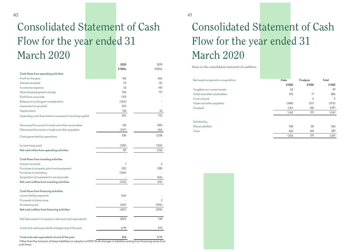# Consolidated Statement of Cash Flow for the year ended 31 March 2020

|                                                         | 2020   | 2019           |
|---------------------------------------------------------|--------|----------------|
|                                                         | £'000s | £'000s         |
| Cash flows from operating activities                    |        |                |
| Profit for the year                                     | 126    | 466            |
| Interest received                                       | (1)    | (2)            |
| Income tax expense                                      | 52     | 143            |
| Share based payment charge                              | 105    | 117            |
| Profit from associate                                   | (51)   |                |
| Release of contingent consideration                     | (555)  |                |
| Impairment of goodwill                                  | 555    |                |
| Depreciation                                            | 134    | 52             |
| Operating cash flows before movement in working capital | 365    | 776            |
| Decrease/(Increase) in trade and other receivables      | 122    | (84)           |
| (Decrease)/Increase in trade and other payables         | (257)  | 566            |
| Cash generated by operations                            | 230    | 1,258          |
| Income taxes paid                                       | (139)  | (123)          |
| Net cash inflow from operating activities               | 121    | 1,135          |
| Cash flows from investing activities                    |        |                |
| Interest received                                       | 1      | 2              |
| Purchase of property, plant and equipment               | (32)   | (28)           |
| Purchase of subsidiary                                  | (544)  |                |
| Acquisition of investment in an associate               |        | (66)           |
| Net cash outflow from investing activities              | (575)  | (92)           |
| Cash flows from financing activities                    |        |                |
| Lease liability payments                                | (66)   |                |
| Proceeds of share issue                                 |        | $\overline{2}$ |
| Dividends paid                                          | (341)  | (296)          |
| Net cash outflow from financing activities              | (407)  | (294)          |
| Net (decrease) / increase in cash and cash equivalents  | (891)  | 749            |
| Cash and cash equivalents at beginning of the year      | 1,719  | 970            |
| Cash and cash equivalents at end of the year            | 828    | 1,719          |

Other than the inclusion of lease liabilities on adoption of IFRS 16 all changes in liabilities arising from financing arose from cash flows.

Satisfied by Shares allotted



# Consolidated Statement of Cash Flow for the year ended 31 March 2020

### Notes to the consolidated statement of cashflows

### $\blacksquare$  Net assets acquired on acquisitions

| Net assets acquired on acquisitions | Oaks  | Finalysis                | Total |
|-------------------------------------|-------|--------------------------|-------|
|                                     | £'000 | £'000                    | £'000 |
| Tangible non-current assets         | 34    | $\overline{\phantom{a}}$ | 34    |
| Trade and other receivables         | 315   | 71                       | 386   |
| Cash at bank                        |       | 5                        | 5     |
| Trade and other payables            | (348) | (27)                     | (375) |
| Goodwill                            | 1,161 | 130                      | 1,291 |
|                                     | 1,162 | 179                      | 1,341 |
| Satisfied by                        |       |                          |       |
| Shares allotted                     | 730   | 30                       | 760   |
| Cash                                | 432   | 149                      | 581   |
|                                     | 1,162 | 179                      | 1,341 |
|                                     |       |                          |       |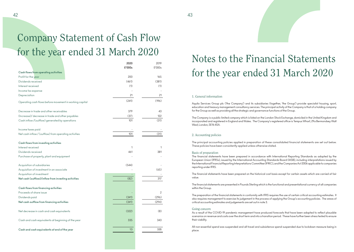## Company Statement of Cash Flow for the year ended 31 March 2020

|                                                         | 2020   | 2019   |
|---------------------------------------------------------|--------|--------|
|                                                         | £'000s | £'000s |
| Cash flows from operating activities                    |        |        |
| Profit for the year                                     | 200    | 165    |
| Dividends received                                      | (461)  | (381)  |
| Interest received                                       | (1)    | (1)    |
| Income tax expense                                      |        |        |
| Depreciation                                            | 21     | 21     |
| Operating cash flows before movement in working capital | (241)  | (196)  |
| Decrease in trade and other receivables                 | 379    | 43     |
| (Increase)/ decrease in trade and other payables        | (37)   | 122    |
| Cash inflow /(outflow) generated by operations          | 101    | (31)   |
| Income taxes paid                                       |        |        |
| Net cash inflow / (outflow) from operating activities   | 101    | (31)   |
| Cash flows from investing activities                    |        |        |
| Interest received                                       | 1      | 1      |
| Dividends received                                      | 461    | 381    |
| Purchase of property, plant and equipment               |        |        |
| Acquisition of subsidiaries                             | (544)  |        |
| Acquisition of investment in an associate               |        | (65)   |
| Acquisition of investment                               |        |        |
| Net cash (outflow)/inflow from investing activities     | (82)   | 317    |
| Cash flows from financing activities                    |        |        |
| Proceeds of share issue                                 |        | 2      |
| Dividends paid                                          | (341)  | (296)  |
| Net cash outflow from financing activities              | (341)  | (294)  |
| Net decrease in cash and cash equivalents               | (322)  | (8)    |
| Cash and cash equivalents at beginning of the year      | 335    | 343    |
| Cash and cash equivalents at end of the year            | 13     | 335    |

### 1. General information

Aquila Services Group plc ('the Company') and its subsidiaries (together, 'the Group') provide specialist housing, sport, education and treasury management consultancy services. The principal activity of the Company is that of a holding company for the Group as well as providing all the strategic and governance functions of the Group.

The Company is a public limited company which is listed on the London Stock Exchange, domiciled in the United Kingdom and incorporated and registered in England and Wales. The Company's registered office is Tempus Wharf, 29a Bermondsey Wall West, London, SE16 4SA.

### 2. Accounting policies

The principal accounting policies applied in preparation of these consolidated financial statements are set out below. These policies have been consistently applied unless otherwise stated.

### Basis of preparation

The financial statements have been prepared in accordance with International Reporting Standards as adopted by the European Union (IFRSs), issued by the International Accounting Standards Board (IASB), including interpretations issued by the International Financial Reporting Interpretations Committee (IFRIC), and the Companies Act 2006 applicable to companies reporting under IFRS.

The financial statements have been prepared on the historical cost basis except for certain assets which are carried at fair value.

The financial statements are presented in Pounds Sterling which is the functional and presentational currency of all companies within the Group.

The preparation of the financial statements in conformity with IFRS requires the use of certain critical accounting estimates. It also requires management to exercise its judgement in the process of applying the Group's accounting policies. The areas of critical accounting estimates and judgements are set out in note 3.

### Going concern

As a result of the COVID-19 pandemic management have produced forecasts that have been adapted to reflect plausible scenarios on revenue and costs over the short term and into a transition period. These have further been stress tested to ensure their viability.

All non-essential spend was suspended and all travel and subsistence spend suspended due to lockdown measure being in place.

## Notes to the Financial Statements for the year ended 31 March 2020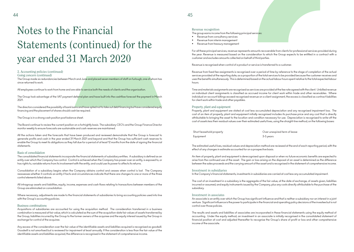### 2. Accounting policies (continued)

### Going concern (continued)

The Group made six redundancies between March and June and placed seven members of staff on furlough, one of whom has since returned to work.

All employees continue to work from home and are able to service both the needs of clients and the organisation.

The Group took advantage of the VAT payment deferral plan and have built into the cashflow forecast the payment in March 2021.

The directors considered the possibility of bank loans and have opted not to take out debt financing but have considered equity financing and the placement of shares should cash be required.

The Group is in a strong cash position post balance sheet.

The Board continue to review the current position on a fortnightly basis. The subsidiary CEO's and the Group Finance Director monitor weekly to ensure forecasts are sustainable and cash reserves are maintained.

All the actions taken and the forecasts that have been produced and reviewed demonstrate that the Group is forecast to generate profits and cash in the year ended 31 March 2021 and beyond and that the Group has sufficient cash reserves to enable the Group to meet its obligations as they fall due for a period of at least 12 months from the date of signing the financial statements.

### Basis of consolidation

The consolidated financial statements incorporate the financial statements of subsidiary entities. A subsidiary is defined as an entity over which the Company has control. Control is achieved when the Company has power over an entity, is exposed to, or has rights to, variable returns from its involvement with the entity, and could use its power to affects its returns.

Consolidation of a subsidiary begins when the Company obtains control and ceases when control is lost. The Company reassesses whether it controls an entity if facts and circumstances indicate that there are changes to one or more of the three control elements listed above.

All intragroup assets and liabilities, equity, income, expenses and cash flows relating to transactions between members of the Group are eliminated on consolidation.

Where necessary, adjustments are made to the financial statements of subsidiaries to bring accounting policies used into line with the Group's accounting policies.

### Business combinations

Acquisitions of subsidiaries are accounted for using the acquisition method. The consideration transferred in a business combination is measured at fair value, which is calculated as the sum of the acquisition-date fair values of assets transferred by the Group, liabilities incurred by the Group to the former owners of the acquiree and the equity interest issued by the Group in exchange for control of the acquiree.

Any excess of the consideration over the fair value of the identifiable assets and liabilities acquired is recognised as goodwill. Goodwill is not amortised but is reviewed for impairment at least annually. If the consideration is less than the fair value of the identifiable assets and liabilities acquired, the difference is recognised in the statement of comprehensive income.

### Revenue recognition

The group earns income from the following principal services:

- Revenue from consultancy services
- Revenue from interim management
- Revenue from treasury management

For all these principal services, revenue represents amounts recoverable from clients for professional services provided during the year. Revenue is measured based on the consideration to which the Group expects to be entitled in a contract with a customer and excludes amounts collected on behalf of third parties.

Revenue is recognised when control of a product or service is transferred to a customer.

Revenue from fixed fee assignments is recognised over a period of time by reference to the stage of completion of the actual services provided at the reporting date, as a proportion of the total services to be provided because the customer receives and uses the benefits simultaneously. This is determined based on the actual labour hours spent relative to the total expected labour hours.

Time and materials assignments are recognised as services are provided at the fee rate agreed with the client. Unbilled revenue on individual client assignments is classified as accrued income for client work within trade and other receivables. Where individual on-account billings exceed recognised revenue on a client assignment, the excess is classified as contract liabilities for client work within trade and other payables.

### Property, plant and equipment

Property, plant and equipment are stated at cost less accumulated depreciation and any recognised impairment loss. The cost of an item of property, plant and equipment initially recognised includes its purchase price and any cost that is directly attributable to bringing the asset to the location and condition necessary for use. Depreciation is recognised to write-off the cost of assets less their residual values over their estimated useful lives, using the straight-line method, on the following bases:

| Short leasehold property |  |
|--------------------------|--|
| Equipment                |  |

The estimated useful lives, residual values and depreciation method are reviewed at the end of each reporting period, with the effect of any changes in estimate accounted for on a prospective basis.

An item of property, plant and equipment is derecognised upon disposal or when no future economic benefits are expected to arise from the continued use of the asset. The gain or loss arising on the disposal of an asset is determined as the difference between the sales proceeds and the carrying amount of the asset and is recognised in the statement of comprehensive income.

### Investment in subsidiaries

In the Company's financial statements, investments in subsidiaries are carried at cost less any accumulated impairment.

The cost of an investment in a subsidiary is the aggregate of the fair value, at the date of exchange, of assets given, liabilities incurred or assumed, and equity instruments issued by the Company, plus any costs directly attributable to the purchase of the subsidiary.

### Investment in associates

An associate is an entity over which the Group has significant influence and that is neither a subsidiary nor an interest in a joint venture. Significant influence is the power to participate in the financial and operating policy decisions of the investee but is not control over those policies.

The results and assets and liabilities of associates are incorporated in these financial statements using the equity method of accounting. Under the equity method, an investment in an associate is initially recognised in the consolidated statement of financial position at cost and adjusted thereafter to recognise the Group's share of profit or loss and other comprehensive income of the associate.

) ver unexpired term of lease

-5 years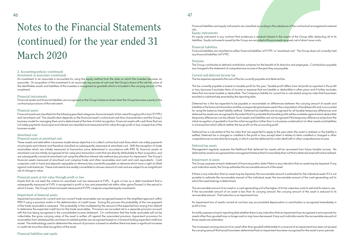### 2. Accounting policies (continued)

### Investment in associates (continued)

An investment in an associate is accounted for using the equity method from the date on which the investee becomes an associate. On acquisition of the investment in an associate, any excess of cost over the Group's share of the net fair value of the identifiable assets and liabilities of the investee is recognised as goodwill, which is included in the carrying amount of the investment.

### Financial instruments

Financial assets and financial liabilities are recognised on the Group's balance sheet when the Group becomes a party to the contractual provisions of the instrument.

### Financial assets

Financial assets are classified into the following specified categories: financial assets 'at fair value through profit or loss' (FVTPL) and 'amortised cost'. The classification depends on the financial asset's contractual cash flow characteristics and the Group's business model for managing them and is determined at the time of initial recognition. Financial assets with cash flows that are not solely payments of principal and interest are classified and measured at fair value through profit or loss, irrespective of the business model.

### Amortised cost

### Financial assets at amortised cost

These assets are held within a business model whose objective is to collect contractual cash flows which are solely payments of principals and interest and therefore classified as subsequently measured at amortised cost. With the exception of trade receivables which are initially measured at transaction price determined in accordance with IFRS 15, financial assets at amortised cost are initially recognised at fair value plus transaction costs that are directly attributable to their acquisition, and are subsequently carried at amortised cost using the effective interest rate method, less provision for impairment. The Group's financial assets measured at amortised cost comprise trade and other receivables and cash and cash equivalents. Cash comprises cash in hand and deposits repayable on demand, less overdrafts payable on demand which have a right of offset against cash balances. These instruments are readily convertible to a known amount of cash and are subject to an insignificant risk of change in value.

### Financial assets at fair value through profit or loss

Assets that do not meet the criteria for amortised cost are measured at FVPL. A gain or loss on a debt investment that is subsequently measured at FVPL is recognised in profit or loss and presented net within other gains/(losses) in the period in which it arises. The Group's financial assets measured at FVTPL comprise unquoted equity investments.

### Impairment of financial assets

Impairment provisions for current and non-current trade receivables are recognised based on the simplified approach within IFRS 9 using a provision matrix in the determination of credit losses. During this process the probability of the non-payment of the trade receivable is assessed. This probability is then multiplied by the amount of the expected loss arising from default to determine the expected credit loss for the trade receivables. Provisions are recorded net in a separate provision account with the loss being recognised in the consolidated income statement. On confirmation that the trade receivable will not be collectable, the gross carrying value of the asset is written off against the associated provision. Impairment provisions for receivables from related parties and loans to related parties are recognised based on a forward-looking expected credit loss model. The methodology used to determine the amount of provision is based on whether there has been a significant increase in credit risk since the initial recognition of the asset.

### Financial liabilities and equity

Financial liabilities and equity instruments are classified according to the substance of the contractual arrangements entered

into.

### Equity instruments

An equity instrument is any contract that evidences a residual interest in the assets of the Group after deducting all of its liabilities. Equity instruments issued by the Group are recorded at the proceeds received, net of direct issue costs.

### Financial liabilities

Financial liabilities are classified as either financial liabilities 'at FVTPL' or 'amortised cost'. The Group does not currently hold any financial liabilities 'at FVTPL'.

### Pensions

The Group contributes to defined contribution schemes for the benefit of its directors and employees. Contributions payable are charged to the statement of comprehensive income in the year they are payable.

### Current and deferred income tax

The tax expense represents the sum of the tax currently payable and deferred tax.

The tax currently payable is based on taxable profit for the year. Taxable profit differs from net profit as reported in the profit or loss, because it excludes items of income or expense that are taxable or deductible in other years and it further excludes items that are never taxable or deductible. The Company's liability for current tax is calculated using tax rates that have been enacted or substantively enacted by the reporting date.

Deferred tax is the tax expected to be payable or recoverable on differences between the carrying amount of assets and liabilities in the financial information and the corresponding tax bases used in the computation of taxable profit, and, is accounted for using the balance sheet liability method. Deferred tax liabilities are recognised for all taxable temporary differences and deferred tax assets are recognised to the extent that it is probable that taxable profits will be available against which deductible temporary differences can be utilised. Such assets and liabilities are not recognised if the temporary difference arises from the initial recognition of goodwill or from the initial recognition (other than in a business combination) of other assets and liabilities in a transaction which affects neither the tax profit nor the accounting profit.

Deferred tax is calculated at the tax rates that are expected to apply to the year when the asset is realised, or the liability is settled. Deferred tax is charged or credited in the profit or loss, except when it relates to items credited or charged in other comprehensive income directly to equity, in which case the deferred tax is also dealt with in other comprehensive income.

### Deferred tax assets

Management regularly assesses the likelihood that deferred tax assets will be recovered from future taxable income. No deferred tax asset is recognised when management believe that it is more likely than not that a deferred asset will not be realised.

### Impairment of assets

The Group assesses at each statement of financial position date if there is any indication that an asset may be impaired. If any such indication exists, the Group estimates the recoverable amount of the asset.

If there is any indication that an asset may be impaired, the recoverable amount is estimated for the individual asset. If it is not possible to estimate the recoverable amount of the individual asset, the recoverable amount of the cash-generating unit to which the asset belongs is determined.

The recoverable amount of an asset or a cash-generating unit is the higher of its fair value less costs to sell and its value in use. If the recoverable amount of an asset is less than its carrying amount, the carrying amount of the asset is reduced to its recoverable amount. That reduction is an impairment loss.

An impairment loss of assets carried at cost less any accumulated depreciation or amortisation is recognised immediately in profit or loss.

An entity assesses at each reporting date whether there is any indication that an impairment loss recognised in prior periods for assets other than goodwill may no longer exist or may have decreased. If any such indication exists, the recoverable amounts of those assets are estimated.

The increased carrying amount of an asset other than goodwill attributable to a reversal of an impairment loss does not exceed the carrying amount that would have been determined had no impairment loss been recognised for the asset in prior periods.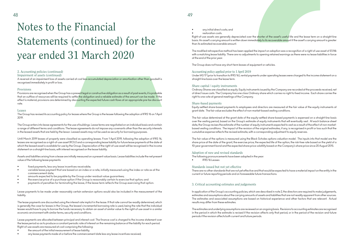### 2. Accounting policies (continued)

### Impairment of assets (continued)

A reversal of an impairment loss of assets carried at cost less accumulated depreciation or amortisation other than goodwill is recognised immediately in profit or loss.

### Provisions

Provisions are recognised when the Group has a present legal or constructive obligation as a result of past events, it is probable that an outflow of resources will be required to settle the obligation and a reliable estimate of the amount can be made. If the effect is material, provisions are determined by discounting the expected future cash flows at an appropriate pre-tax discount rate.

### Leases

The Group has revised its accounting policy for leases where the Group is the lessee following the adoption of IFRS 16 on 1 April 2019.

The Group enters into lease agreements for the use of buildings. Lease terms are negotiated on an individual basis and contain a range of different terms and conditions. The lease agreements do not impose any covenants other than the security interests in the leased assets that are held by the lessor. Leased assets may not be used as security for borrowing purposes.

Until March 2019 leases of property were classified as operating leases. From 1 April 2019, following the adoption of IFRS 16, leases are recognised as a right-of-use asset (ROU) and a corresponding lease liability for future lease payments at the date at which the leased asset is available for use by the Group. Depreciation of the right-of-use asset will be recognised in the income statement on a straight-line basis, with interest recognised on the lease liability.

Assets and liabilities arising from a lease are initially measured on a present value basis. Lease liabilities include the net present value of the following lease payments:

- fixed payments, less any lease incentives receivable;
- variable lease payment that are based on an index or a rate, initially measured using the index or rate as at the commencement date;
- amounts expected to be payable by the Group under residual value guarantees;
- the exercise price of a purchase option if the Group is reasonably certain to exercise that option; and
- payments of penalties for terminating the lease, if the lease term reflects the Group exercising that option.

Lease payments to be made under reasonably certain extension options would also be included in the measurement of the liability.

The lease payments are discounted using the interest rate implicit in the lease. If that rate cannot be readily determined, which is generally the case for leases in the Group, the lessee's incremental borrowing rate is used, being the rate that the individual lessee would have to pay to borrow the funds necessary to obtain an asset of similar value to the right-of use asset in a similar economic environment with similar terms, security and conditions.

Lease payments are allocated between principal and interest cost. The finance cost is charged to the income statement over the lease period so as to produce a constant periodic rate of interest on the remaining balance of the liability for each period. Right-of-use assets are measured at cost comprising the following:

- the amount of the initial measurement of lease liability;
- any lease payments made at or before the commencement date less any lease incentives received;
- any initial direct costs; and
- restoration costs.

Right-of-use assets are generally depreciated over the shorter of the asset's useful life and the lease term on a straight-line basis. An asset's carrying amount is written down immediately to its recoverable amount if the asset's carrying amount is greater than its estimated recoverable amount.

The modified retrospective method has been applied the impact on adoption was a recognition of a right of use asset of £514k with a matching lease liability. There are no adjustments to opening retained earnings as there were no lease liabilities in force at the end of the prior year.

The Group does not have any short-term leases of equipment or vehicles.

### Accounting policy applied prior to 1 April 2019

Under IAS 17 (prior to transition to IFRS 16), rental payments under operating leases were charged to the income statement on a straight-line basis over the lease term.

### Share capital / equity instruments

Ordinary Shares are classified as equity. Equity instruments issued by the Company are recorded at the proceeds received, net of direct issue costs. The Company has one class Ordinary share which carries no right to fixed income. Each share carries the right to one vote at general meetings of the Company.

### Share-based payments

Equity-settled share-based payments to employees and directors are measured at the fair value of the equity instruments at grant date. The fair value excludes the effect of non-market-based vesting conditions.

The fair value determined at the grant date of the equity-settled share-based payments is expensed on a straight-line basis over the vesting period, based on the Group's estimate of equity instruments that will eventually vest. At each balance sheet date, the Group revises the estimate of the number of equity instruments expected to vest as a result of the effect of non-marketbased vesting conditions. The impact of the revision of the original estimates, if any, is recognised in profit or loss such that the cumulative expense reflects the revised estimate, with a corresponding adjustment to equity reserves.

The fair value of the options is measured using the Black Scholes options valuation model. The inputs into that model are the share price at the date of the grant, the exercise price, the expected life of the option, the risk-free rate based on the yield of a 10-year government bond and the expected share price volatility based on the Company's share price since 20 August 2015.

### Adoption of new and revised standards

The following pronouncements have been adopted in the year: • IFRS 16 Leases

### Standards issued but not yet effective

There are no other standards that are not yet effective and that would be expected to have a material impact on the entity in the current or future reporting periods and on foreseeable future transactions.

### 3. Critical accounting estimates and judgements

In application of the Group's accounting policies, which are described in note 2, the directors are required to make judgements, estimates and assumptions about the carrying amounts of assets and liabilities that are not readily apparent from other sources. The estimates and associated assumptions are based on historical experience and other factors that are relevant. Actual results may differ from these estimates.

The estimates and underlying assumptions are reviewed on an ongoing basis. Revisions to accounting estimates are recognised in the period in which the estimate is revised if the revision affects only that period, or in the period of the revision and future periods if the revision affects both current and future periods.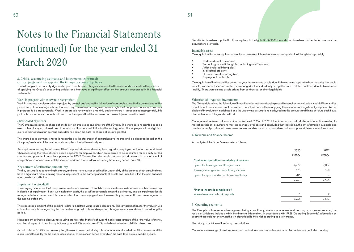### 3. Critical accounting estimates and judgements (continued)

Critical judgements in applying the Group's accounting policies

The following are the critical judgements, apart from those involving estimations, that the directors have made in the process of applying the Group's accounting policies and that have a significant effect on the amounts recognised in the financial statements.

### Work in progress within revenue recognition

Work in progress is calculated on a project by project basis using the fair value of chargeable time that is un-invoiced at the period end. Historic analysis shows that recovery rates of work in progress are very high; the Group does not expect any work in progress to be irrecoverable. Work in progress is reviewed on a monthly basis to ensure it is recognised appropriately, it is probable that economic benefits will flow to the Group and that the fair value can be reliably measured (note 4).

### Share-based payments

The Company has granted share options to certain employees and directors of the Group. The share options granted become exercisable at varying future dates. If certain conditions are met, following the vesting period, the employee will be eligible to exercise their option at an exercise price determined on the date the share options are granted.

The share-based payment charge is recognised in the statement of comprehensive income and is calculated based on the Company's estimate of the number of share options that will eventually vest.

Assumptions regarding the fair value of the Company's shares and assumptions regarding employee fluctuation are considered when measuring the value of share-based payments for employees, which are required to be accounted for as equity-settled share-based payment transactions pursuant to IFRS 2. The resulting staff costs are recognised pro rata in the statement of comprehensive income to reflect the services rendered as consideration during the vesting period (note 21).

### Key sources of estimation uncertainty

The key assumptions concerning the future, and other key sources of estimation uncertainty at the balance sheet date, that may have a significant risk of causing material adjustment to the carrying amounts of assets and liabilities within the next financial year, are discussed below.

### Impairment of goodwill

The carrying amounts of the Group's assets value are reviewed at each balance sheet date to determine whether there is any indication of impairment. If any such indication exists, the asset's recoverable amount is estimated, and an impairment loss is recognised where the recoverable amount is less than the carrying value of the asset. Any impairment losses are recognised in the income statement.

The recoverable amount of the goodwill is determined from value in use calculations. The key assumptions for the value in use calculations are those regarding the discount rates, growth rates and expected changes to income and direct costs during the period.

Management estimates discount rates using pre-tax rates that reflect current market assessments of the time value of money and the risks specific to each acquisition of goodwill. Discount rates of 11% and a terminal value of 1.4% has been used.

Growth rates of 0-15% have been applied, these are based on industry rates managements knowledge of the business and the markets and the ability for the business to expand. The maximum period over which the cashflows are reviewed is 5 years.

Sensitivities have been applied to all assumptions. In the light of COVID-19 the cashflows have been further tested to ensure the assumptions are viable.

### Intangible assets

On acquisition the following items are reviewed to assess if there is any value in acquiring the intangibles separately.

- Trademarks or trade names
- Technology based intangibles, including any IT systems
- Artistic-related intangibles
- Intellectual property
- Customer-related intangibles
- Employment contracts

On acquisition of the two entities during the year there were no assets identifiable as being separable from the entity that could be sold, transferred, licensed, rented or exchanged, either individually or together with a related contract, identifiable asset or liability. There were also no assets arising from contractual or other legal rights.

### Valuation of unquoted investments

The Group determines the fair value of these financial instruments using recent transactions or valuation models if information about recent transactions is not available. The values derived from applying these models are significantly impacted by the choice of the valuation model used and the underlying assumptions made, such as the amounts and timing of future cash flows, discount rates, volatility and credit risk.

Management reviewed all information available at 31 March 2020 taken into account all additional information relating to market participant assumptions that is reasonably available and concluded that there is insufficient information available and a wide range of possible fair value measurements and as such cost is considered to be an appropriate estimate of fair value.

4. Revenue and finance income

An analysis of the Group's revenue is as follows:

### **Continuing operations - rendering of services**

Specialist housing consultancy income

Treasury management consultancy income

Specialist sports and education consultancy

| 2020   | 2019           |
|--------|----------------|
| £'000s | £'000s         |
|        |                |
| 6,729  | 7,087          |
| 528    | 568            |
| 706    |                |
| 7,963  | 7,655          |
|        |                |
|        |                |
| 1      | $\overline{c}$ |
| 7,964  | 7,657          |

### **Finance income is comprised of:**

Interest revenue on bank deposits

### 5. Operating segments

The Group has three reportable segments being; consultancy, interim management and treasury management services, the results of which are included within the financial information. In accordance with IFRS8 'Operating Segments', information on segment assets is not shown, as this is not provided to the chief operating decision-maker.

The principal activities of the Group are as follows:

Consultancy – a range of services to support the business needs of a diverse range of organisations (including housing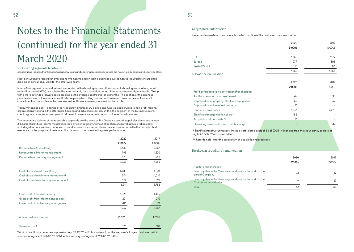### Geographical information

Revenues from external customers, based on location of the customer, are shown below:

|                                                      | 2020   | 2019   |
|------------------------------------------------------|--------|--------|
|                                                      | £'000s | £'000s |
| UK                                                   | 7,368  | 7,179  |
| Europe                                               | 279    | 305    |
| <b>Rest of World</b>                                 | 316    | 171    |
|                                                      | 7,963  | 7,655  |
| . Profit before taxation                             |        |        |
|                                                      | 2020   | 2019   |
|                                                      | £'000s | £'000s |
| Profit before taxation is arrived at after charging: |        |        |
| Auditors' remuneration (see below)                   | 42     | 38     |
| Depreciation of property, plant and equipment        | 63     | 52     |
| Depreciation of leasehold property                   | 71     |        |
| Staff costs (see note 7)                             | 5,351  | 4,270  |
| Significant reorganisation costs *                   | 186    |        |
| Acquisition related costs **                         | 51     |        |
| Operating lease costs - land and buildings           |        | 42     |

6. Profit before taxation

\* Significant restructuring costs include staff related costs of £186k (2019: Nil) arising from the redundancy costs relating to COVID-19 are provided for

\*\* Refer to note 10 for the breakdown of acquisition-related costs

Breakdown of auditors' remuneration

### Auditors' remuneration

|                                                                                       | 2020<br>£'000s | 2019<br>£'000s |
|---------------------------------------------------------------------------------------|----------------|----------------|
| Auditors' remuneration                                                                |                |                |
| Fees payable to the Company's auditors for the audit of the<br>parent Company         | 23             | 19             |
| Fees payable to the Company's auditors for the audit of the<br>Company's subsidiaries | 19             | 19             |
| Total                                                                                 | 42             | 38             |

### 5. Operating segments (continued)

associations, local authorities, multi academy trusts and sporting businesses) across the housing, education and sports sectors.

Most consultancy projects run over one to two months and on-going business development is required to ensure a full pipeline of consultancy work for the employed team.

Interim Management – individuals are embedded within housing organisations (normally housing associations, local authorities and ALMOs) in a substantive role, normally for a specified period. Interim management provides the Group with a more extended forward sales pipeline as the average contract is for six months. This section of the business provides low risk as the interim consultants are placed on rolling contractual basis and provides minimal financial commitment as associates to the business, rather than employees, are used for these roles.

Treasury Management – a range of services providing treasury advice and fund-raising services to non-profit making organisations working in the affordable housing and education sectors. Within this segment of the business several client organisations enter fixed period retainers to ensure immediate call-off of the required services.

The accounting policies of the reportable segments are the same as the Group's accounting policies described in note 2. Segment profit represents the profit earned by each segment, without allocation of central administration costs, including directors' salaries, finance costs and income tax expense. This is the measure reported to the Group's chief executive for the purpose of resource allocation and assessment of segment performance.

|                                        | 2020    | 2019    |
|----------------------------------------|---------|---------|
|                                        | £'000s  | £'000s  |
| Revenue from Consultancy               | 6,640   | 5,867   |
| Revenue from Interim management        | 795     | 1,220   |
| Revenue from Treasury management       | 528     | 568     |
|                                        | 7,963   | 7,655   |
| Cost of sales from Consultancy         | 5,315   | 4,381   |
| Cost of sales from Interim management  | 574     | 1,010   |
| Cost of sales from Treasury management | 322     | 397     |
|                                        | 6,211   | 5,788   |
| Gross profit from Consultancy          | 1,325   | 1,486   |
| Gross profit from Interim management   | 221     | 210     |
| Gross profit from Treasury management  | 206     | 171     |
|                                        | 1,752   | 1,867   |
| Administrative expenses                | (1,626) | (1,260) |
| Operating profit                       | 126     | 607     |

Within consultancy revenues, approximately 7% (2019: 6%) has arisen from the segment's largest customer; within interim management 24% (2019: 12%); within treasury management 26% (2019: 34%).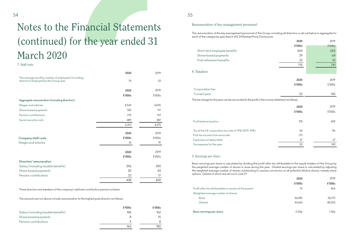7. Staff costs

|                                                    | 2020   | 2019   |
|----------------------------------------------------|--------|--------|
| The average monthly number of employees (including |        |        |
| directors) employed by the Group was:              | 74     | 52     |
|                                                    | 2020   | 2019   |
|                                                    | £'000s | £'000s |
| Aggregate remuneration (including directors)       |        |        |
| Wages and salaries                                 | 4,542  | 3,605  |
| Share-based payments                               | 105    | 117    |
| Pension contributions                              | 215    | 161    |
| Social security costs                              | 489    | 387    |
|                                                    | 5,351  | 4,270  |
|                                                    | 2020   | 2019   |
| Company staff costs                                | £'000s | £'000s |
| Wages and salaries                                 | 10     | 10     |
|                                                    | 2020   | 2019   |
|                                                    | £'000s | £'000s |
| Directors' remuneration                            |        |        |
| Salary (including taxable benefits)                | 396    | 390    |
| Share-based payments                               | 20     | 43     |
| Pension contributions                              | 22     | 17     |
|                                                    | 438    | 450    |

Three directors are members of the company's defined contribution pension scheme.

The amounts set out above include remuneration to the highest paid director as follows:

|                                     | £'000s | £'000s |
|-------------------------------------|--------|--------|
| Salary (including taxable benefits) | 146    | 162    |
| Share-based payments                |        | 15     |
| Pension contributions               |        |        |
|                                     | 163    | 185    |

### Remuneration of key management personnel

The remuneration of the key management personnel of the Group, including all directors, is set out below in aggregate for each of the categories specified in IAS 24 Related Party Disclosures.

Short-term employee benefits Share-based payments Post-retirement benefits

8. Taxation

Corporation tax:

Current year

The tax charge for the year can be reconciled to the profit in the

### Profit before taxation

Tax at the UK corporation tax rate of 19% (2019: 19%) Post tax income from associate Expenses not deductible Tax expense for the year

| 2020                         | 2019   |
|------------------------------|--------|
| £'000s                       | £'000s |
| 664                          | 655    |
| 29                           | 64     |
| 22                           | 22     |
| 715                          | 741    |
|                              |        |
| 2020                         | 2019   |
| £'000s                       | £'000s |
|                              |        |
| 52                           | 143    |
| income statement as follows: |        |
| 2020                         | 2019   |
| £'000s                       | £'000s |
|                              |        |
| 178                          | 609    |
|                              |        |
| 34                           | 116    |
| (9)                          |        |
| 27                           | 27     |
| 52                           | 143    |

### 9. Earnings per share

Basic earnings per share is calculated by dividing the profit after tax attributable to the equity holders of the Group by the weighted average number of shares in issue during the year. Diluted earnings per share is calculated by adjusting the weighted average number of shares outstanding to assume conversion of all potential dilutive shares, namely share options. Details of which are set out in note 21.

|                                                       | 2020              | 2019              |
|-------------------------------------------------------|-------------------|-------------------|
|                                                       | £'000s            | £'000s            |
| Profit after tax attributable to owners of the parent | 75                | 466               |
| Weighted average number of shares                     |                   |                   |
| <b>Basic</b><br>÷.                                    | 36,285            | 35,272            |
| <b>Diluted</b><br>a.                                  | 41,665            | 40,353            |
|                                                       |                   |                   |
| Basic earnings per share                              | 0.35 <sub>p</sub> | 1.32 <sub>p</sub> |

- 
- 

### **Basic earnings per share**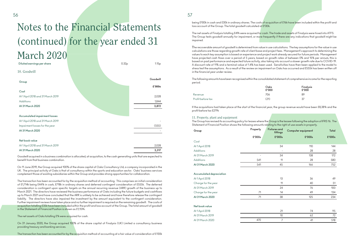| THUI CIT ANAV                     |       |          |
|-----------------------------------|-------|----------|
| Diluted earnings per share        | 0.32p | 1.15p    |
| 10. Goodwill                      |       |          |
| Group                             |       | Goodwill |
|                                   |       | £'000s   |
| Cost                              |       |          |
| At 1 April 2018 and 31 March 2019 |       | 2,028    |
| Additions                         |       | 1,844    |
| Ał 31 March 2020                  |       | 3,872    |
|                                   |       |          |
| Accumulated impairment losses     |       |          |
| At 1 April 2018 and 31 March 2019 |       |          |
| Impairment losses for the year    |       | (555)    |
| Ał 31 March 2020                  |       |          |
| Net book value                    |       |          |
| At 1 April 2018 and 31 March 2019 |       | 2,028    |
| Ał 31 March 2020                  |       | 3,317    |

Goodwill acquired in a business combination is allocated, at acquisition, to the cash generating units that are expected to benefit from that business combination.

On 11 June 2019, the Group acquired 100% of the share capital of Oaks Consultancy Ltd, a company incorporated in the UK. The principal activity of Oaks is that of consultancy within the sports and education sector. Oaks' business services complement those of existing subsidiaries within the Group and provides strong opportunities for collaboration.

The transaction has been accounted for by the acquisition method of accounting. This comprises an initial consideration of £1,714k being £441k in cash, £718k in ordinary shares and deferred contingent consideration of £555k. The deferred consideration is contingent upon specific targets on the annual recurring revenue (ARR) growth of the business up to March 2021. The directors have reviewed the business performance of Oaks including the future budgets and cashflows up to March 2021 and have concluded that the ARR is unlikely to be achieved and have therefore release the contingent liability. The directors have also impaired the investment by the amount equivalent to the contingent consideration. Further impairment reviews have taken place and no further impairment is required on the remaining goodwill. The costs of acquisition totalling £35k have been included within the profit and loss account of the Group. The total amount of goodwill in the Statement of Financial Position is shown as £1,159k.

The net assets of Oaks totalling £1k were acquired for cash.

On 31 January 2020, the Group acquired 100% of the share capital of Finalysis (UK) Limited a consultancy business providing treasury and banking services.

The transaction has been accounted for by the acquisition method of accounting at a fair value of consideration of £130k

being £100k in cash and £30k in ordinary shares. The costs of acquisition of £16k have been included within the profit and loss account of the Group. The total goodwill calculated at £130k.

The net assets of Finalysis totalling £49k were acquired for cash. The trade and assets of Finalysis were hived into ATFS. The Group tests goodwill annually for impairment, or more frequently if there are any indications that goodwill might be impaired.

The recoverable amount of goodwill is determined from value in use calculations. The key assumptions for the value in use calculations are those regarding growth rate of client base and project fees. Management's approach to determining the values to each key assumption is based on experience and project work already secured for future periods. Management have projected cash flows over a period of 5 years, based on growth rates of between 0% and 15% per annum, this is based on past performance and expected future activity, also taking into account a slower growth rate due to COVID-19. A discount rate of 11% and a terminal value of 1.4% has been used. Sensitivities have then been applied to the model to stress test the assumptions. As a result of the review an impairment on Oaks has occurred and £555k has been written off in the financial year under review.

The following amounts have been recognised within the consolidated statement of comprehensive income for the reporting period.

Profit before tax

|                   | Oaks<br>£'000 | <b>Finalysis</b><br>£'000 |
|-------------------|---------------|---------------------------|
| Revenue           | 706           | 89                        |
| Profit before tax | (21)          | 37                        |

the Group is the lessee following the adoption of IFRS 16. The

If the acquisitions had taken place at the start of the financial year, the group revenue would have been £8,381k and the profit before tax £279k

### 11. Property, plant and equipment

| The Group has revised its accounting policy for leases where |  |  |
|--------------------------------------------------------------|--|--|
| Statement of Financial Position shows the following amounts  |  |  |

| Group                           | Property | <b>Fixtures and</b><br>fittings | Computer equipment | Total  |
|---------------------------------|----------|---------------------------------|--------------------|--------|
|                                 | £'000s   | £'000s                          | £'000s             | £'000s |
| Cost                            |          |                                 |                    |        |
| At 1 April 2018                 |          | 34                              | 110                | 144    |
| Additions                       |          |                                 | 28                 | 28     |
| At 31 March 2019                |          | 34                              | 138                | 172    |
| Additions                       | 541      | 11                              | 28                 | 580    |
| At 31 March 2020                | 541      | 45                              | 166                | 752    |
| <b>Accumulated depreciation</b> |          |                                 |                    |        |
| At 1 April 2018                 |          | 13                              | 36                 | 49     |
| Charge for the year             |          | 11                              | 40                 | 51     |
| At 31 March 2019                |          | 24                              | 76                 | 100    |
| Charge for the year             | 71       | 14                              | 49                 | 134    |
| Ał 31 March 2020                | 71       | 38                              | 125                | 234    |
| Net book value                  |          |                                 |                    |        |
| At 1 April 2018                 |          | 21                              | 74                 | 95     |
| At 31 March 2019                |          | 10                              | 62                 | 72     |
| At 31 March 2020                | 470      | 7                               | 41                 | 518    |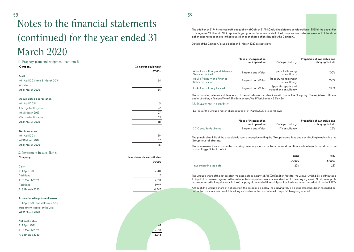| 11. Property, plant and equipment (continued) |                             |
|-----------------------------------------------|-----------------------------|
| Company                                       | Computer equipment          |
|                                               | £'000s                      |
| Cost                                          |                             |
| At 1 April 2018 and 31 March 2019             | 64                          |
| Additions                                     |                             |
| Ał 31 March 2020                              | 64                          |
| Accumulated depreciation                      |                             |
| At 1 April 2018                               | 5                           |
| Charge for the year                           | 22                          |
| At 31 March 2019                              | 27                          |
| Charge for the year                           | 21                          |
| Ał 31 March 2020                              | 48                          |
| Net book value                                |                             |
| At 1 April 2018                               | 59                          |
| At 31 March 2019                              | 37                          |
| Ał 31 March 2020                              | 16                          |
| 12. Investment in subsidiaries                |                             |
| Company                                       | Investments in subsidiaries |
|                                               | £'000s                      |
| Cost                                          |                             |
| At 1 April 2018                               | 2,701                       |
| Additions                                     | 117                         |
| At 31 March 2019                              | 2,818                       |
| Additions                                     | 1,949                       |
| Ał 31 March 2020                              | 4,767                       |
|                                               |                             |

At 1 April 2018 2018 At 31 March 2019 2,818 **At 31 March 2020 4,212**

**Accumulated impairment losses** At 1 April 2018 and 31 March 2019 Impairment losses for the year 555

**At 31 March 2020 555**

**Net book value**

|                                                                                                                                                                                                                                                                                                                                                                                                       | Place of incorporation<br>and operation | <b>Principal activity</b>                      | Proportion of ownership and<br>voting rights held |
|-------------------------------------------------------------------------------------------------------------------------------------------------------------------------------------------------------------------------------------------------------------------------------------------------------------------------------------------------------------------------------------------------------|-----------------------------------------|------------------------------------------------|---------------------------------------------------|
| Altair Consultancy and Advisory<br>Services Limited                                                                                                                                                                                                                                                                                                                                                   | <b>England and Wales</b>                | Specialist housing<br>consultancy              | 100%                                              |
| Aquila Treasury and Finance<br>Solutions Limited                                                                                                                                                                                                                                                                                                                                                      | <b>England and Wales</b>                | Treasury management<br>consultancy             | 100%                                              |
| Oaks Consultancy Limited                                                                                                                                                                                                                                                                                                                                                                              | <b>England and Wales</b>                | Specialist sports and<br>education consultancy | 100%                                              |
| The accounting reference date of each of the subsidiaries is co-terminus with that of the Company. The registered office of<br>each subsidiary is Tempus Wharf, 29a Bermondsey Wall West, London, SE16 4SA.                                                                                                                                                                                           |                                         |                                                |                                                   |
| 13. Investment in associates                                                                                                                                                                                                                                                                                                                                                                          |                                         |                                                |                                                   |
| Details of the Group's material associates at 31 March 2020 are as follows:                                                                                                                                                                                                                                                                                                                           |                                         |                                                |                                                   |
|                                                                                                                                                                                                                                                                                                                                                                                                       | Place of incorporation<br>and operation | <b>Principal activity</b>                      | Proportion of ownership and<br>voting rights held |
| <b>3C Consultants Limited</b>                                                                                                                                                                                                                                                                                                                                                                         | <b>England and Wales</b>                | IT consultancy                                 | 25%                                               |
| The principal activity of the associate is seen as complementing the Group's operations and contributing to achieving the<br>Group's overall strategy.                                                                                                                                                                                                                                                |                                         |                                                |                                                   |
| The above associate is accounted for using the equity method in these consolidated financial statements as set out in the<br>accounting policies in note 2.                                                                                                                                                                                                                                           |                                         |                                                |                                                   |
|                                                                                                                                                                                                                                                                                                                                                                                                       |                                         | 2020                                           | 2019                                              |
|                                                                                                                                                                                                                                                                                                                                                                                                       |                                         | £'000s                                         | £'000s                                            |
| Investment in associate                                                                                                                                                                                                                                                                                                                                                                               |                                         | 228                                            | 227                                               |
| The Group's share of the net assets in the associate company is £76k (2019: £26k). Profit for the year, of which £51k is attributable<br>to Aquila, has been recognised in the statement of comprehensive income and added to the carrying value. No share of profit<br>was recognised in the prior year. In the Company statement of financial position, the investment is carried at cost of £227k. |                                         |                                                |                                                   |
| Although the Group's share of net assets in the associate is below the carrying value, no impairment has been recorded be-<br>cause the associate was profitable in the year and expected to continue to be profitable going forward.                                                                                                                                                                 |                                         |                                                |                                                   |

The addition of £1,949k represents the acquisition of Oaks of £1,714k (including deferred consideration of £555k) the acquisition of Finalysis of £130k and £105k representing capital contributions made to the Company's subsidiaries in respect of the share option expense recognised in those subsidiaries on share options issued by the Company.

Details of the Company's subsidiaries at 31 March 2020 are as follows.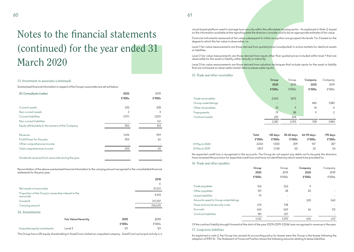### 13. Investment in associates (continued)

Summarised financial information in respect of the Group's associates are set out below:

| <b>3C Consultants Limited</b>                     | 2020<br>£'000s | 2019<br>£'000s |
|---------------------------------------------------|----------------|----------------|
| Current assets                                    | 520            | 328            |
| Non-current assets                                | 2              | 3              |
| <b>Current liabilities</b>                        | (217)          | (222)          |
| Non-current liabilities                           |                | (6)            |
| Equity attributable to the owners of the Company  | 305            | 103            |
| Revenue                                           | 1,416          | 959            |
| Profit/(loss) for the year                        | 203            | 65             |
| Other comprehensive income                        |                |                |
| Total comprehensive income                        | 203            | 65             |
| Dividends received from associate during the year |                |                |

Reconciliation of the above summarised financial information to the carrying amount recognised in the consolidated financial statements for the prior year:

|                                                                  |                      |        | 2018    |
|------------------------------------------------------------------|----------------------|--------|---------|
|                                                                  |                      |        | £       |
| Net assets of associates                                         |                      |        | 37,651  |
| Proportion of the Group's ownership interest in the<br>associate |                      |        | 9,413   |
| Goodwill                                                         |                      |        | 217,207 |
| Carrying amount                                                  |                      |        | 226,620 |
| 14. Investments                                                  |                      |        |         |
|                                                                  | Fair Value Hierarchy | 2020   | 2019    |
|                                                                  |                      | £'000s | £'000s  |
| Unquoted equity investments                                      | Level 3              | 121    | 121     |

The Group has a 6% equity shareholding in AssetCore Limited an unquoted company. AssetCore's principal activity is a

cloud-based platform used to manage loan security within the affordable housing sector. As explained in Note 3, based on the information available at the reporting date the directors consider cost to be an appropriate estimate of fair value.

Financial instruments measured at fair value subsequent to initial recognition are grouped into levels 1 to 3 based on the degree to which the fair value is observable, i.e.:

Level 1 fair value measurements are those derived from quoted prices (unadjusted) in active markets for identical assets or liabilities.

Level 2 fair value measurements are those derived from inputs other than quoted prices included within level 1 that are observable for the asset or liability, either directly or indirectly.

Level 3 fair value measurements are those derived from valuation techniques that include inputs for the asset or liability that are not based on observable market data (unobservable inputs).

15. Trade and other receivables

|                    | Group<br>2020<br>£'000s | Group<br>2019<br>£'000s | Company<br>2020<br>£'000s | Company<br>2019<br>£'000s |
|--------------------|-------------------------|-------------------------|---------------------------|---------------------------|
| Trade receivables  | 2,063                   | 1,872                   |                           |                           |
| Group undertakings |                         |                         | 685                       | 1,082                     |
| Other receivables  | 23                      | 9                       | 14                        | 0                         |
| Prepayments        | 79                      | 88                      | 9                         | 2                         |
| Contract assets    | 222                     | 224                     |                           |                           |
|                    | 2,387                   | 2,193                   | 708                       | 1,084                     |

| Trade receivables  |
|--------------------|
| Group undertakings |
| Other receivables  |
| Prepayments        |
| Contract assets    |

|               | Total  |        | <30 days 30-60 days 66-90 days |        | >90 days |
|---------------|--------|--------|--------------------------------|--------|----------|
|               | £'000s | £'000s | £'000s                         | £'000s | £'000s   |
| 31 March 2020 | 2.063  | 1,500  | 209                            | 147    | 207      |
| 31 March 2019 | 1.872  | 1.744  | 50                             | 23     | 54       |

No expected credit loss is recognised in the accounts. The Group do not expect any debts not to be paid, the directors have reviewed the provision for expected credit loss and have not identified any which need to be provided for.

16. Trade and other payables

| Group<br>2020<br>£'000s | Group<br>2019<br>£'000s | Company<br>2020<br>£'000s | Company<br>2019<br>£'000s |
|-------------------------|-------------------------|---------------------------|---------------------------|
|                         |                         |                           |                           |
| 154                     | 253                     | 9                         |                           |
| 101                     | 28                      | 50                        | $\overline{\phantom{a}}$  |
| 79                      |                         |                           |                           |
|                         |                         | 520                       | 560                       |
| 613                     | 518                     |                           |                           |
| 634                     | 569                     | 56                        | 112                       |
| 181                     | 227                     |                           |                           |
| 1,762                   | 1,595                   | 635                       | 672                       |

|                                    | Group                    | Group  | Company | Company |
|------------------------------------|--------------------------|--------|---------|---------|
|                                    | 2020                     | 2019   | 2020    | 2019    |
|                                    | £'000s                   | £'000s | £'000s  | £'000s  |
| Trade payables                     | 154                      | 253    | 9       |         |
| Other payables                     | 101                      | 28     | 50      |         |
| Lease liabilities                  | 79                       |        |         |         |
| Amounts owed to Group undertakings | $\overline{\phantom{0}}$ |        | 520     | 560     |
| Taxes and social security costs    | 613                      | 518    |         |         |
| <b>Accruals</b>                    | 634                      | 569    | 56      | 112     |
| Contract liabilities               | 181                      | 227    |         |         |
|                                    | 1,762                    | 1,595  | 635     | 672     |

Of the contract liability brought forward at the start of the year £227k (2019: £226k) was recognised in revenue in the year.

17. Long term liabilities

As explained in note 2, the Group has revised its accounting policy for leases were the Group is the lessee following the adoption of IFRS 16. The Statement of Financial Position shows the following amounts relating to lease liabilities.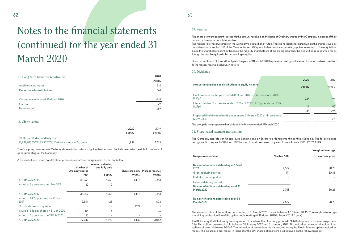The Company has one class Ordinary share which carries no right to fixed income. Each share carries the right to one vote at general meetings of the Company.

A reconciliation of share capital, share premium account and merger reserve is set out below:

| 17. Long term liabilities (continued)                    |        | 2020          |
|----------------------------------------------------------|--------|---------------|
| Additions new leases                                     |        | £'000s<br>514 |
| Decrease in lease liabilities                            |        | (66)          |
| Closing amounts as at 31 March 2020                      |        | 448           |
| Current                                                  |        | 79            |
| Non-current                                              |        | 369           |
| 18. Share capital                                        |        |               |
|                                                          | 2020   | 2019          |
|                                                          | £'000s | £'000s        |
| Allotted, called up and fully paid                       |        |               |
| 37,947,905 (2019: 35,307,776) Ordinary shares of 5p each | 1,897  | 1,765         |

|                                             | Number of<br>Ordinary shares | Amount called up<br>and fully paid |        | Share premium Merger reserve |
|---------------------------------------------|------------------------------|------------------------------------|--------|------------------------------|
|                                             | 000'                         | £'000s                             | £'000s | £'000s                       |
| At 31 March 2018                            | 35,265                       | 1,763                              | 1,487  | 2,413                        |
| Issued at 5p per share on 1 Feb 2019        | 42                           | 2                                  |        |                              |
| At 31 March 2019                            | 35,307                       | 1,765                              | 1,487  | 2,413                        |
| Issued at 28.7p per share on 14 Nov<br>2019 | 2,544                        | 128                                |        | 603                          |
| Cost of share on acquisition                |                              | $\overline{\phantom{a}}$           | (12)   |                              |
| Issued at 35p per share on 31 Jan 2020      | 86                           | 4                                  |        | 26                           |
| Issued at 5p per share on 21 Feb 2020       | 10                           |                                    |        |                              |
| At 31 March 2020                            | 37,947                       | 1.897                              | 1.475  | 3,042                        |

# Notes to the financial statements (continued) for the year ended 31 March 2020

### 19. Reserves

The share premium account represents the amount received on the issue of Ordinary shares by the Company in excess of their nominal value and is non-distributable.

The merger relief reserve arose on the Company's acquisition of Altair. There is no legal share premium on the shares issued as consideration as section 612 of the Companies Act 2006, which deals with merger relief, applies in respect of the acquisition. Since the shareholders of Altair became the majority shareholders of the enlarged group, the acquisition is accounted for as though the legal acquiree is the accounting acquirer.

Upon acquisition of Oaks and Finalysis in the year to 31 March 2020 the premium arising on the issue of shares has been credited to the merger reserve as shown in note 18.

### 20. Dividends

|                                                                                                                                                                                                                              | 2020   | 2019   |
|------------------------------------------------------------------------------------------------------------------------------------------------------------------------------------------------------------------------------|--------|--------|
| Amounts recognised as distributions to equity holders                                                                                                                                                                        | £'000s | £'000s |
| Final dividend for the year ended 31 March 2019 of 0.6p per share (2018:<br>0.55p                                                                                                                                            | 227    | 194    |
| Interim dividend for the year ended 31 March 2020 of 0.3p per share (2019:<br>$0.29p$ )                                                                                                                                      | 114    | 102    |
|                                                                                                                                                                                                                              | 341    | 296    |
| Proposed final dividend for the year ended 31 March 2020 of Nil per share<br>(2019:0.6p)                                                                                                                                     |        | 211    |
| The group do not propose a final dividend for the year ended 31 March 2020.                                                                                                                                                  |        |        |
| 21. Share-based payment transactions                                                                                                                                                                                         |        |        |
| The Company operates an Unapproved Scheme and an Enterprise Management Incentives Scheme. The total expense<br>recognised in the year to 31 March 2020 arising from share-based payment transactions is £105k (2019: £117k). |        |        |

|                                                             |             | Weighted average         |
|-------------------------------------------------------------|-------------|--------------------------|
| Unapproved scheme                                           | Number '000 | exercise price           |
| Number of options outstanding at 1 April<br>2019            | 2,587       | £0.23                    |
|                                                             |             |                          |
| Granted during period                                       | 171         | £0.35                    |
| Forfeited during period                                     |             | $\overline{\phantom{a}}$ |
| <b>Exercised during period</b>                              |             | $\overline{\phantom{a}}$ |
| Number of options outstanding as at 31<br><b>March 2020</b> | 2,758       | £0.25                    |
| Number of options exercisable as at 31<br><b>March 2020</b> | 2,587       | £0.23                    |

The exercise price of the options outstanding at 31 March 2020 ranges between £0.05 and £0.35. The weighted average remaining contractual life of the options outstanding at 31 March 2020 is 1 year (2019: 1 year).

On 31 January 2020, following the acquisition of Finalysis, the Company granted 171,428 of options at an exercise price of 35p. The options are exercisable between 31 January 2022 and 31 January 2027. The weighted average fair value of the options at grant date was £0.067. The fair value of the options was measured using the Black Scholes options valuation model. The inputs into that model in respect of the EMI share options were as displayed on the following page.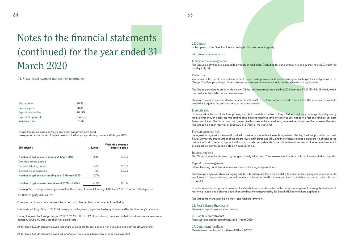| Share price          | £0.35   |
|----------------------|---------|
| Exercise price       | £0.35   |
| Expected volatility  | 20.19%  |
| Expected option life | 5 years |
| Risk-free rate       | 0.61%   |

The risk-free rate is based on the yield of a 10-year government bond.

The expected share price volatility is based on the Company's share price since 20 August 2015.

| <b>EMI</b> scheme                                 | Number | Weighted average<br>exercise price |
|---------------------------------------------------|--------|------------------------------------|
| Number of options outstanding at 1 April 2019     | 2,851  | £0.05                              |
| Granted during period                             |        |                                    |
| Forfeited during period                           | (65)   | £0.05                              |
| Exercised during period                           | (10)   | £0.05                              |
| Number of options outstanding as at 31 March 2020 | 2,776  |                                    |
| Number of options exercisable as at 31 March 2020 | 2,005  | £0.05                              |

The weighted average remaining contractual life of the options outstanding at 31 March 2020 is 5 years (2019: 6 years).

### 22. Related party disclosures

Balances and transactions between the Group and other related parties are disclosed below:

Dividends totalling £149k (2019: £137k) were paid in the year in respect of Ordinary Shares held by the Company's directors.

During the year the Group charged £Nil (2019: £10,000) to DMJ Consultancy Services Limited for administrative services, a company in which Derek Joseph serves as a director.

At 31 March 2020, the balance owed to Richard Wollenberg for services as a non-executive director was £8k (2019: £4k).

At 31 March 2020, the balance owed to Fiona Underwood for reimbursement of expenses was £182.

Notes to the financial statements (continued) for the year ended 31 March 2020

21. Share-based payment transactions (continued)

23. Control

In the opinion of the Directors there is no single ultimate controlling party.

### 24. Financial instruments

### Financial risk management

The Group's activities are exposed to a variety of market risk (including foreign currency risk and interest rate risk), credit risk and liquidity risk.

### Credit risk

Credit risk is the risk of financial loss to the Group resulting from counterparties failing to discharge their obligations to the Group. The Group's principal financial assets are trade and other receivables and cash and cash equivalents.

The Group considers its credit risk to be low. Of the total trade receivables at the 2020 year-end £136k (2019: £148k) is due from one customer (which has since been received).

There are no other customers that represent more than 7% of the total balance of trade receivables. The maximum exposure to credit risk is equal to the carrying value of these instruments.

### Liquidity risk

Liquidity risk is the risk of the Group being unable to meet its liabilities as they fall due. The Group manages liquidity risk by maintaining enough cash reserves and holding banking facilities, and by continuously monitoring forecast and actual cash flows. In addition, the Group is a cash generative business with income being received regularly over the course of the year. The Group held cash reserves of £828k (2019: £1,719k) at the year-end.

### Foreign currency risk

Foreign exchange risk is the risk of loss due to adverse movements in the exchange rates affecting the Group's profits and cash flows. Only a very small number of clients are invoiced in Euros and USD and the foreign exchange exposure is not considered a significant risk. The Group's principal financial assets are cash and cash equivalents and trade and other receivables, which are almost exclusively denominated in Pounds Sterling.

### Interest rate risk

The Group does not undertake any hedging activity in this area. The main element in interest rate risk involves sterling deposits.

Capital risk management

Internal working capital requirements are low and are regularly monitored.

The Groups' objective when managing capital is to safeguard the Group's ability to continue as a going concern in order to provide return for shareholders, benefits for other stakeholders and to maintain optimal capital structure and to reduce the cost of capital.

In order to ensure an appropriate return for shareholder capital invested in the Group, management thoroughly evaluates all material projects and potential acquisitions and has them approved by the Board of Directors where applicable.

The Group monitors capital on a short- and medium-term view.

25. Post Balance Sheet event There are no post balance sheet events.

26. Capital commitments There were no capital commitments at 31 March 2020.

27. Contingent liabilities There were no contingent liabilities at 31 March 2020.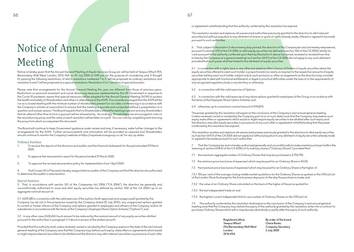Notice is hereby given that the Annual General Meeting of Aquila Services Group plc will be held at Tempus Wharf 29A, Bermondsey Wall West, London, SE16 4SA on 29 July 2020 at 3:00 pm, for the purpose of considering and, if thought fit, passing the following resolutions, of which resolutions numbered 1 to 5 will be proposed as ordinary resolutions and resolution 6 and 7 will be proposed as a special resolutions. Resolutions 5 to 7 are items of special business.

Please note that arrangements for the Annual General Meeting this year are different from those of previous years. Restrictions on personal movement and social distancing measures implemented by the UK Government in response to the Covid-19 pandemic means that special measures will be adopted for the Annual General Meeting (AGM) to protect the health and safety of Shareholders and others in attendance at the AGM. It is currently envisaged that the AGM will be run as a closed meeting with the minimum number of shareholders present (or via video conferencing in accordance with the Company's articles of association) to ensure that the meeting is quorate and conducted without a presentation or a question and answer session. The Board requests that no Shareholders attend the meeting in person and any Shareholders that do attend (other than to form a quorum) will be refused entry. Accordingly, Shareholders are encouraged to vote on the resolutions by proxy and the votes on each resolution will be taken on a poll. You can vote by completing and returning the proxy form which accompanies this document.

The Board will continue to keep Government guidance under review and may, if necessary, make further changes to the arrangements for the AGM. Further announcements and information will be provided as required and Shareholders should continue to monitor the Company's website at https://aquilaservicesgroup.co.uk/ for any up-dates.

### Ordinary business

- 1. To receive the reports of the directors and auditor and the financial statements for the period ended 31 March 2020.
- 2. To approve the remuneration report for the period ended 31 March 2020.
- 3. To approve the revised remuneration policy for implementation from 1 April 2020.

4. That Crowe UK LLP be and is hereby reappointed as auditor of the Company and that the directors be authorised to determine the auditor's remuneration.

### Special business

5. That, in accordance with section 551 of the Companies Act 2006 ("CA 2006"), the directors be generally and unconditionally authorised to issue and allot equity securities (as defined by section 560 of the CA 2006) up to an aggregate nominal amount of:

5.1 £229,580 in connection with the valid exercise of the options (both approved and unapproved) granted by the Company (as set out in the prospectus issued by the Company dated 20 July 2015), any unapproved options granted to current or former officers of the Company and options granted to employees and officers of the Company and/or its subsidiaries in accordance with the terms of the Company's Employee Share Option Scheme ("Options"); and

5.2 in any other case, £632,465 (such amount to be reduced by the nominal amount of any equity securities allotted pursuant to the authorities in paragraph 5.1 above in excess of the stated amount).

Provided that this authority shall, unless renewed, varied or revoked by the Company, expire on the date of the next annual general meeting of the Company save that the Company may, before such expiry, make offers or agreements which would or might require relevant securities to be allotted and the directors may allot relevant securities in pursuance of such offer

# Notice of Annual General Meeting

or agreement notwithstanding that the authority conferred by this resolution has expired.

This resolution revokes and replaces all unexercised authorities previously granted to the directors to allot relevant securities but without prejudice to any allotment of shares or grant of rights already made, offered or agreed to be made pursuant to such authorities.

6. That, subject to Resolution 5 above being duly passed, the directors of the Company be and are hereby empowered, pursuant to section 570 of the CA 2006, to allot equity securities (as defined in section 560 of the CA 2006) wholly for cash pursuant to the authority conferred upon them by Resolution 5 above (as varied, renewed or revoked from time to time by the Company at a general meeting) as if section 561(1) of the CA 2006 did not apply to any such allotment provided that such power shall be limited to the allotment of equity securities:

6.1 in connection with a rights issue or any other pre-emptive offer in favour of holders of equity securities where the equity securities offered to each such holder is proportionate (as nearly as may be) to the respective amounts of equity securities held by each such holder subject only to such exclusion or other arrangements as the directors may consider appropriate to deal with fractional entitlements or legal or practical difficulties under the laws of or the requirements of any recognised regulatory body in any territory or otherwise;

6.2 in connection with the valid exercise of Options;

6.3 in connection with the valid exercise of any share options granted to employees of the Group in accordance with the terms of the Employee Share Option Scheme; and

6.4 otherwise, up to a maximum nominal amount of £94,870.

The power granted by this resolution will expire on the conclusion of the Company's next annual general meeting (unless renewed, varied or revoked by the Company prior to or on such date) save that the Company may, before such expiry make offers or agreements which would or might require equity securities to be allotted after such expiry and the directors may allot equity securities in pursuance of any such offer or agreement notwithstanding that the power conferred by this resolution has expired.

This resolution revokes and replaces all unexercised powers previously granted to the directors to allot equity securities as if section 561(1) of the CA 2006 did not apply but without prejudice to any allotment of equity securities already made or agreed to be made pursuant to such authorities.

7. That the Company be and is hereby authorised generally and unconditionally to make market purchases (within the meaning of section 693(4) of the CA 2006) of its ordinary shares ("Ordinary Shares") provided that:

7.1 the maximum aggregate number of Ordinary Shares that may be purchased is 3,794,790;

7.2 the minimum price (exclusive of expenses) which may be paid for an Ordinary Share is £0.05;

7.3 the maximum price (exclusive of expenses) which may be paid for an Ordinary Share is the higher of:

7.3.1 105 per cent of the average closing middle market quotations for the Ordinary Shares as quoted on the Official List of the London Stock Exchange for the five business days prior to the day the purchase is made; and

7.3.2 the value of an Ordinary Share calculated on the basis of the higher of the price quoted for:

7.3.3 the last independent trade of; and

7.3.4 the highest current independent bid for any number of Ordinary Shares on the Official List.

7.4 The authority conferred by this resolution shall expire on the conclusion of the Company's next annual general meeting save that the Company may, before the expiry of the authority granted by this resolution, enter into a contract to purchase Ordinary Shares which will or may be executed wholly or partly after the expiry of such authority.

> **Registered office: By order of the board Tempus Wharf** Claire Banks<br>29 a Bermondsey Wall West Company Secretary  **29a Bermondsey Wall West Company Secretary London 2 July 2020 SE16 4SA**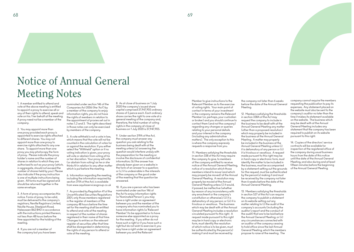5. A vote withheld is not a vote in law, which means that the vote will not be counted in the calculation of votes for or against the resolution. If you either select the "Withheld" option or if no voting indication is given, your proxy will vote or abstain from voting at his or her discretion. Your proxy will vote (or abstain from voting) as he or she thinks fit in relation to any other matter which is put before the meeting.

nominated under section 146 of the Companies Act 2006 (the 'Act') by a member of the company to enjoy information rights, you do not have the rights of members in relation to the appointment of proxies set out in notes 1, 2 and 3. The rights described in those notes can only be exercised by members of the company.

6. Information regarding the meeting, including the information required by section 311A of the Act, is available from www.aquilaservicesgroup.co.uk

7. As provided by Regulation 41 of the Uncertificated Securities Regulations 2001, only those members registered in the register of members of the company 48 hours before the time set for the meeting shall be entitled to attend and vote at the meeting in respect of the number of shares registered in their name at that time. Changes to entries on the relevant register of securities after that time shall be disregarded in determining the rights of any person to attend or vote at the meeting.

1. A member entitled to attend and vote at the above meeting is entitled to appoint a proxy to exercise all or any of their rights to attend, speak and vote on his / her behalf at the meeting. A proxy need not be a member of the company.

2. You may appoint more than one proxy provided each proxy is appointed to exercise rights attached to different shares. You may not appoint more than one proxy to exercise rights attached to any one share. To appoint more than one proxy you may photocopy the form of proxy. Please indicate the proxy holder's name and the number of shares in relation to which they are authorised to act as your proxy (which, in aggregate, should not exceed the number of shares held by you). Please also indicate if the proxy instruction is one of multiple instructions being given. All forms must be signed and should be returned together in the same envelope.

3. A form of proxy accompanies this notice. Forms of proxy, to be valid, must be delivered to the company's registrars, Neville Registrars Limited, Neville House, Steelpark Road, Halesowen B62 8HD in accordance with the instructions printed thereon, not less than 48 hours before the time appointed for the holding of the meeting.

4. If you are not a member of the company but you have been 8. As at close of business on 1 July 2020 the company's issued share capital comprised 37,947,905 ordinary shares of 5 pence each. Each ordinary share carries the right to one vote at a general meeting of the company and, therefore, the total number of voting rights in the company at close of business on 1 July 2020 is 37,947,905.

9. Under section 319A of the Act, the company must answer any question you ask relating to the business being dealt with at the meeting unless (a) answering the question would interfere unduly with the preparation for the meeting or involve the disclosure of confidential information; (b) the answer has already been given on a website in the form of an answer to a question; or (c) it is undesirable in the interests of the company or the good order of the meeting that the question be answered.

10. If you are a person who has been nominated under section 146 of the Act to enjoy information rights (a 'Nominated Person'), you may have a right under an agreement between you and the member of the company who has nominated you to have information rights (a 'Relevant Member') to be appointed or to have someone else appointed as a proxy for the meeting. If you either do not have such a right or if you have such a right but do not wish to exercise it, you may have a right under an agreement between you and the Relevant

# Notice of Annual General Meeting Notes

Member to give instructions to the Relevant Member as to the exercise of voting rights. Your main point of contact in terms of your investment in the company remains the Relevant Member (or, perhaps, your custodian or broker) and you should continue to contact them (and not the company) regarding any changes or queries relating to your personal details and your interest in the company (including any administrative matters). The only exception to this is where the company expressly requests a response from you.

11. Members satisfying the thresholds in section 338 of the Act may require the company to give, to members of the company entitled to receive notice of the Annual General Meeting, notice of a resolution which those members intend to move (and which may properly be moved) at the Annual General Meeting. A resolution may properly be moved at the Annual General Meeting unless (i) it would, if passed, be ineffective (whether by reason of any inconsistency with any enactment or the company's constitution or otherwise); (ii) it is defamatory of any person; or (iii) it is frivolous or vexatious. The business which may be dealt with at the Annual General Meeting includes a resolution circulated pursuant to this right. A request made pursuant to this right may be in hard copy or electronic form, must identify the resolution of which notice is to be given, must be authenticated by the person(s) making it and must be received by

the company not later than 6 weeks Meeting.



12. Members satisfying the thresholds in section 338A of the Act may request the company to include in the business to be dealt with at the Annual General Meeting any matter (other than a proposed resolution) which may properly be included in the business at the Annual General Meeting. A matter may properly be included in the business at the Annual General Meeting unless (i) it is defamatory of any person or (ii) it is frivolous or vexatious. A request made pursuant to this right may be in hard copy or electronic form, must identify the matter to be included in the business, must be accompanied by a statement setting out the grounds for the request, must be authenticated by the person(s) making it and must be received by the company not later than 6 weeks before the date of the Annual General Meeting.

13. Members satisfying the thresholds in section 527 of the Act can require the company to publish a statement on its website setting out any matter relating to (i) the audit of the company's accounts (including the auditor's report and the conduct of the audit) that are to be laid before the Annual General Meeting; or (ii) any circumstances connected with an auditor of the company ceasing to hold office since the last Annual General Meeting, which the members propose to raise at the meeting. The

company cannot require the members requesting the publication to pay its expenses. Any statement placed on the website must also be sent to the company's auditor no later than the time it makes its statement available on the website. The business which may be dealt with at the Annual General Meeting includes any statement that the company has been required to publish on its website pursuant to this right.

14. Copies of the directors' service contracts will be available for inspection at the registered office of the company during usual business hours from the date of this notice until the date of the Annual General Meeting, and also during and at least fifteen minutes before the beginning of the Annual General Meeting.